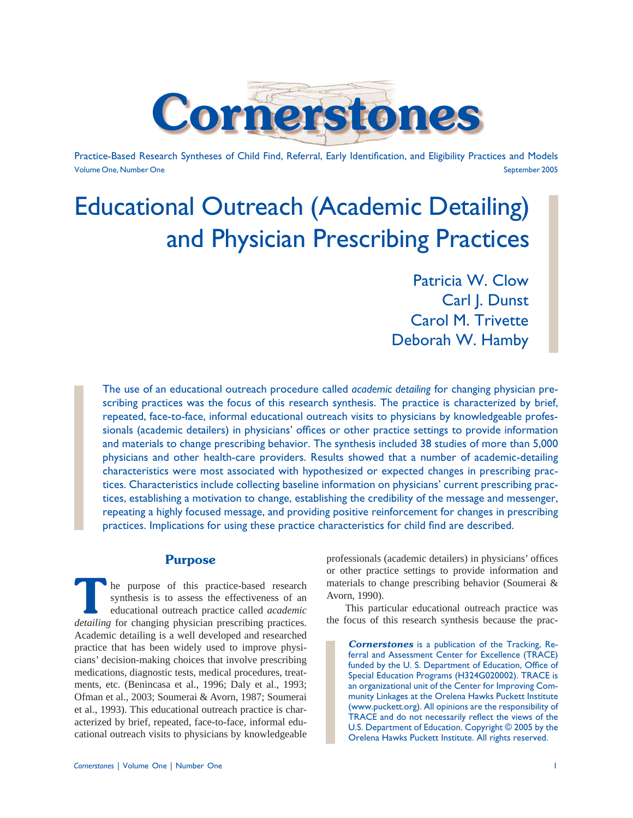

Practice-Based Research Syntheses of Child Find, Referral, Early Identification, and Eligibility Practices and Models Volume One, Number One September 2005

# Educational Outreach (Academic Detailing) and Physician Prescribing Practices

Patricia W. Clow Carl J. Dunst Carol M. Trivette Deborah W. Hamby

The use of an educational outreach procedure called *academic detailing* for changing physician prescribing practices was the focus of this research synthesis. The practice is characterized by brief, repeated, face-to-face, informal educational outreach visits to physicians by knowledgeable professionals (academic detailers) in physicians' offices or other practice settings to provide information and materials to change prescribing behavior. The synthesis included 38 studies of more than 5,000 physicians and other health-care providers. Results showed that a number of academic-detailing characteristics were most associated with hypothesized or expected changes in prescribing practices. Characteristics include collecting baseline information on physicians' current prescribing practices, establishing a motivation to change, establishing the credibility of the message and messenger, repeating a highly focused message, and providing positive reinforcement for changes in prescribing practices. Implications for using these practice characteristics for child find are described.

# **Purpose**

**T**he purpose of this practice-based research synthesis is to assess the effectiveness of an educational outreach practice called *academic detailing* for changing physician prescribing practices. Academic detailing is a well developed and researched practice that has been widely used to improve physicians' decision-making choices that involve prescribing medications, diagnostic tests, medical procedures, treatments, etc. (Benincasa et al., 1996; Daly et al., 1993; Ofman et al., 2003; Soumerai & Avorn, 1987; Soumerai et al., 1993). This educational outreach practice is characterized by brief, repeated, face-to-face, informal educational outreach visits to physicians by knowledgeable

professionals (academic detailers) in physicians' offices or other practice settings to provide information and materials to change prescribing behavior (Soumerai & Avorn, 1990).

 This particular educational outreach practice was the focus of this research synthesis because the prac-

*Cornerstones* is a publication of the Tracking, Referral and Assessment Center for Excellence (TRACE) funded by the U. S. Department of Education, Office of Special Education Programs (H324G020002). TRACE is an organizational unit of the Center for Improving Community Linkages at the Orelena Hawks Puckett Institute (www.puckett.org). All opinions are the responsibility of TRACE and do not necessarily reflect the views of the U.S. Department of Education. Copyright © 2005 by the Orelena Hawks Puckett Institute. All rights reserved.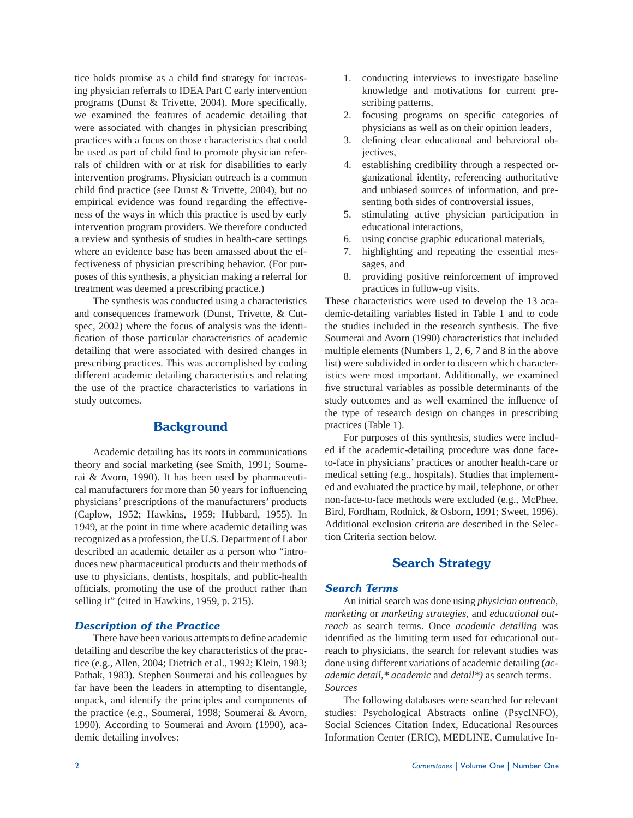tice holds promise as a child find strategy for increasing physician referrals to IDEA Part C early intervention programs (Dunst & Trivette, 2004). More specifically, we examined the features of academic detailing that were associated with changes in physician prescribing practices with a focus on those characteristics that could be used as part of child find to promote physician referrals of children with or at risk for disabilities to early intervention programs. Physician outreach is a common child find practice (see Dunst  $&$  Trivette, 2004), but no empirical evidence was found regarding the effectiveness of the ways in which this practice is used by early intervention program providers. We therefore conducted a review and synthesis of studies in health-care settings where an evidence base has been amassed about the effectiveness of physician prescribing behavior. (For purposes of this synthesis, a physician making a referral for treatment was deemed a prescribing practice.)

 The synthesis was conducted using a characteristics and consequences framework (Dunst, Trivette, & Cutspec, 2002) where the focus of analysis was the identification of those particular characteristics of academic detailing that were associated with desired changes in prescribing practices. This was accomplished by coding different academic detailing characteristics and relating the use of the practice characteristics to variations in study outcomes.

# **Background**

 Academic detailing has its roots in communications theory and social marketing (see Smith, 1991; Soumerai & Avorn, 1990). It has been used by pharmaceutical manufacturers for more than 50 years for influencing physicians' prescriptions of the manufacturers' products (Caplow, 1952; Hawkins, 1959; Hubbard, 1955). In 1949, at the point in time where academic detailing was recognized as a profession, the U.S. Department of Labor described an academic detailer as a person who "introduces new pharmaceutical products and their methods of use to physicians, dentists, hospitals, and public-health officials, promoting the use of the product rather than selling it" (cited in Hawkins, 1959, p. 215).

## *Description of the Practice*

There have been various attempts to define academic detailing and describe the key characteristics of the practice (e.g., Allen, 2004; Dietrich et al., 1992; Klein, 1983; Pathak, 1983). Stephen Soumerai and his colleagues by far have been the leaders in attempting to disentangle, unpack, and identify the principles and components of the practice (e.g., Soumerai, 1998; Soumerai & Avorn, 1990). According to Soumerai and Avorn (1990), academic detailing involves:

- 1. conducting interviews to investigate baseline knowledge and motivations for current prescribing patterns,
- 2. focusing programs on specific categories of physicians as well as on their opinion leaders,
- 3. defining clear educational and behavioral objectives,
- 4. establishing credibility through a respected organizational identity, referencing authoritative and unbiased sources of information, and presenting both sides of controversial issues,
- 5. stimulating active physician participation in educational interactions,
- 6. using concise graphic educational materials,
- 7. highlighting and repeating the essential messages, and
- 8. providing positive reinforcement of improved practices in follow-up visits.

These characteristics were used to develop the 13 academic-detailing variables listed in Table 1 and to code the studies included in the research synthesis. The five Soumerai and Avorn (1990) characteristics that included multiple elements (Numbers 1, 2, 6, 7 and 8 in the above list) were subdivided in order to discern which characteristics were most important. Additionally, we examined five structural variables as possible determinants of the study outcomes and as well examined the influence of the type of research design on changes in prescribing practices (Table 1).

 For purposes of this synthesis, studies were included if the academic-detailing procedure was done faceto-face in physicians' practices or another health-care or medical setting (e.g., hospitals). Studies that implemented and evaluated the practice by mail, telephone, or other non-face-to-face methods were excluded (e.g., McPhee, Bird, Fordham, Rodnick, & Osborn, 1991; Sweet, 1996). Additional exclusion criteria are described in the Selection Criteria section below.

# **Search Strategy**

#### *Search Terms*

 An initial search was done using *physician outreach*, *marketing* or *marketing strategies*, and *educational outreach* as search terms. Once *academic detailing* was identified as the limiting term used for educational outreach to physicians, the search for relevant studies was done using different variations of academic detailing (*academic detail,\* academic* and *detail\*)* as search terms. *Sources* 

 The following databases were searched for relevant studies: Psychological Abstracts online (PsycINFO), Social Sciences Citation Index, Educational Resources Information Center (ERIC), MEDLINE, Cumulative In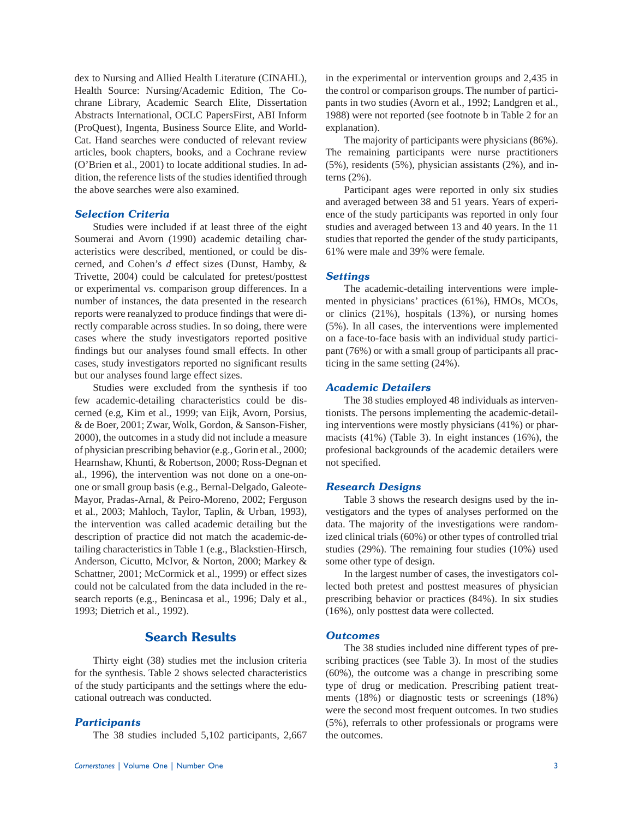dex to Nursing and Allied Health Literature (CINAHL), Health Source: Nursing/Academic Edition, The Cochrane Library, Academic Search Elite, Dissertation Abstracts International, OCLC PapersFirst, ABI Inform (ProQuest), Ingenta, Business Source Elite, and World-Cat. Hand searches were conducted of relevant review articles, book chapters, books, and a Cochrane review (O'Brien et al., 2001) to locate additional studies. In addition, the reference lists of the studies identified through the above searches were also examined.

#### *Selection Criteria*

 Studies were included if at least three of the eight Soumerai and Avorn (1990) academic detailing characteristics were described, mentioned, or could be discerned, and Cohen's *d* effect sizes (Dunst, Hamby, & Trivette, 2004) could be calculated for pretest/posttest or experimental vs. comparison group differences. In a number of instances, the data presented in the research reports were reanalyzed to produce findings that were directly comparable across studies. In so doing, there were cases where the study investigators reported positive findings but our analyses found small effects. In other cases, study investigators reported no significant results but our analyses found large effect sizes.

 Studies were excluded from the synthesis if too few academic-detailing characteristics could be discerned (e.g, Kim et al., 1999; van Eijk, Avorn, Porsius, & de Boer, 2001; Zwar, Wolk, Gordon, & Sanson-Fisher, 2000), the outcomes in a study did not include a measure of physician prescribing behavior (e.g., Gorin et al., 2000; Hearnshaw, Khunti, & Robertson, 2000; Ross-Degnan et al., 1996), the intervention was not done on a one-onone or small group basis (e.g., Bernal-Delgado, Galeote-Mayor, Pradas-Arnal, & Peiro-Moreno, 2002; Ferguson et al., 2003; Mahloch, Taylor, Taplin, & Urban, 1993), the intervention was called academic detailing but the description of practice did not match the academic-detailing characteristics in Table 1 (e.g., Blackstien-Hirsch, Anderson, Cicutto, McIvor, & Norton, 2000; Markey & Schattner, 2001; McCormick et al., 1999) or effect sizes could not be calculated from the data included in the research reports (e.g., Benincasa et al., 1996; Daly et al., 1993; Dietrich et al., 1992).

# **Search Results**

 Thirty eight (38) studies met the inclusion criteria for the synthesis. Table 2 shows selected characteristics of the study participants and the settings where the educational outreach was conducted.

#### *Participants*

The 38 studies included 5,102 participants, 2,667

in the experimental or intervention groups and 2,435 in the control or comparison groups. The number of participants in two studies (Avorn et al., 1992; Landgren et al., 1988) were not reported (see footnote b in Table 2 for an explanation).

 The majority of participants were physicians (86%). The remaining participants were nurse practitioners (5%), residents (5%), physician assistants (2%), and interns (2%).

 Participant ages were reported in only six studies and averaged between 38 and 51 years. Years of experience of the study participants was reported in only four studies and averaged between 13 and 40 years. In the 11 studies that reported the gender of the study participants, 61% were male and 39% were female.

#### *Settings*

 The academic-detailing interventions were implemented in physicians' practices (61%), HMOs, MCOs, or clinics (21%), hospitals (13%), or nursing homes (5%). In all cases, the interventions were implemented on a face-to-face basis with an individual study participant (76%) or with a small group of participants all practicing in the same setting (24%).

#### *Academic Detailers*

 The 38 studies employed 48 individuals as interventionists. The persons implementing the academic-detailing interventions were mostly physicians (41%) or pharmacists (41%) (Table 3). In eight instances (16%), the profesional backgrounds of the academic detailers were not specified.

#### *Research Designs*

 Table 3 shows the research designs used by the investigators and the types of analyses performed on the data. The majority of the investigations were randomized clinical trials (60%) or other types of controlled trial studies (29%). The remaining four studies (10%) used some other type of design.

 In the largest number of cases, the investigators collected both pretest and posttest measures of physician prescribing behavior or practices (84%). In six studies (16%), only posttest data were collected.

#### *Outcomes*

 The 38 studies included nine different types of prescribing practices (see Table 3). In most of the studies (60%), the outcome was a change in prescribing some type of drug or medication. Prescribing patient treatments (18%) or diagnostic tests or screenings (18%) were the second most frequent outcomes. In two studies (5%), referrals to other professionals or programs were the outcomes.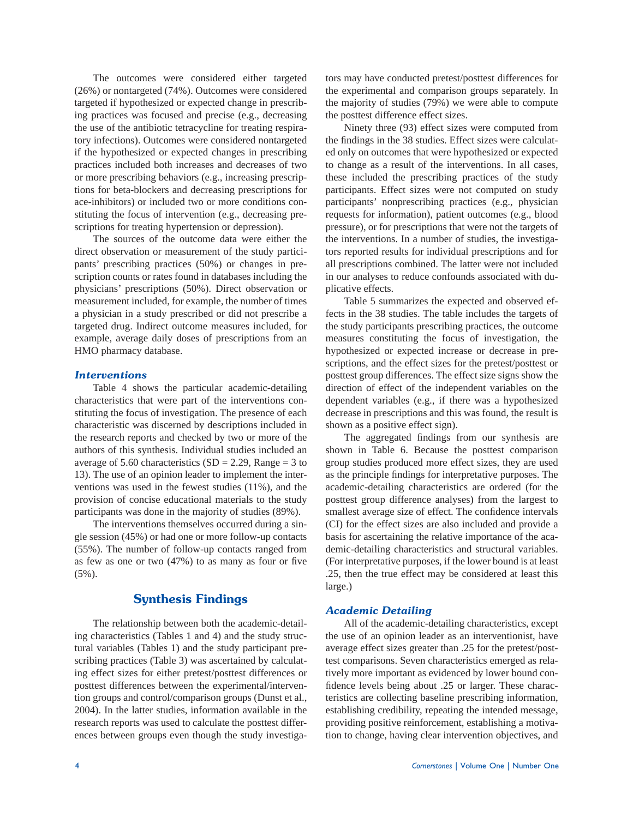The outcomes were considered either targeted (26%) or nontargeted (74%). Outcomes were considered targeted if hypothesized or expected change in prescribing practices was focused and precise (e.g., decreasing the use of the antibiotic tetracycline for treating respiratory infections). Outcomes were considered nontargeted if the hypothesized or expected changes in prescribing practices included both increases and decreases of two or more prescribing behaviors (e.g., increasing prescriptions for beta-blockers and decreasing prescriptions for ace-inhibitors) or included two or more conditions constituting the focus of intervention (e.g., decreasing prescriptions for treating hypertension or depression).

 The sources of the outcome data were either the direct observation or measurement of the study participants' prescribing practices (50%) or changes in prescription counts or rates found in databases including the physicians' prescriptions (50%). Direct observation or measurement included, for example, the number of times a physician in a study prescribed or did not prescribe a targeted drug. Indirect outcome measures included, for example, average daily doses of prescriptions from an HMO pharmacy database.

#### *Interventions*

Table 4 shows the particular academic-detailing characteristics that were part of the interventions constituting the focus of investigation. The presence of each characteristic was discerned by descriptions included in the research reports and checked by two or more of the authors of this synthesis. Individual studies included an average of 5.60 characteristics (SD = 2.29, Range = 3 to 13). The use of an opinion leader to implement the interventions was used in the fewest studies (11%), and the provision of concise educational materials to the study participants was done in the majority of studies (89%).

 The interventions themselves occurred during a single session (45%) or had one or more follow-up contacts (55%). The number of follow-up contacts ranged from as few as one or two  $(47%)$  to as many as four or five (5%).

## **Synthesis Findings**

 The relationship between both the academic-detailing characteristics (Tables 1 and 4) and the study structural variables (Tables 1) and the study participant prescribing practices (Table 3) was ascertained by calculating effect sizes for either pretest/posttest differences or posttest differences between the experimental/intervention groups and control/comparison groups (Dunst et al., 2004). In the latter studies, information available in the research reports was used to calculate the posttest differences between groups even though the study investigators may have conducted pretest/posttest differences for the experimental and comparison groups separately. In the majority of studies (79%) we were able to compute the posttest difference effect sizes.

 Ninety three (93) effect sizes were computed from the findings in the 38 studies. Effect sizes were calculated only on outcomes that were hypothesized or expected to change as a result of the interventions. In all cases, these included the prescribing practices of the study participants. Effect sizes were not computed on study participants' nonprescribing practices (e.g., physician requests for information), patient outcomes (e.g., blood pressure), or for prescriptions that were not the targets of the interventions. In a number of studies, the investigators reported results for individual prescriptions and for all prescriptions combined. The latter were not included in our analyses to reduce confounds associated with duplicative effects.

 Table 5 summarizes the expected and observed effects in the 38 studies. The table includes the targets of the study participants prescribing practices, the outcome measures constituting the focus of investigation, the hypothesized or expected increase or decrease in prescriptions, and the effect sizes for the pretest/posttest or posttest group differences. The effect size signs show the direction of effect of the independent variables on the dependent variables (e.g., if there was a hypothesized decrease in prescriptions and this was found, the result is shown as a positive effect sign).

The aggregated findings from our synthesis are shown in Table 6. Because the posttest comparison group studies produced more effect sizes, they are used as the principle findings for interpretative purposes. The academic-detailing characteristics are ordered (for the posttest group difference analyses) from the largest to smallest average size of effect. The confidence intervals (CI) for the effect sizes are also included and provide a basis for ascertaining the relative importance of the academic-detailing characteristics and structural variables. (For interpretative purposes, if the lower bound is at least .25, then the true effect may be considered at least this large.)

#### *Academic Detailing*

All of the academic-detailing characteristics, except the use of an opinion leader as an interventionist, have average effect sizes greater than .25 for the pretest/posttest comparisons. Seven characteristics emerged as relatively more important as evidenced by lower bound confidence levels being about .25 or larger. These characteristics are collecting baseline prescribing information, establishing credibility, repeating the intended message, providing positive reinforcement, establishing a motivation to change, having clear intervention objectives, and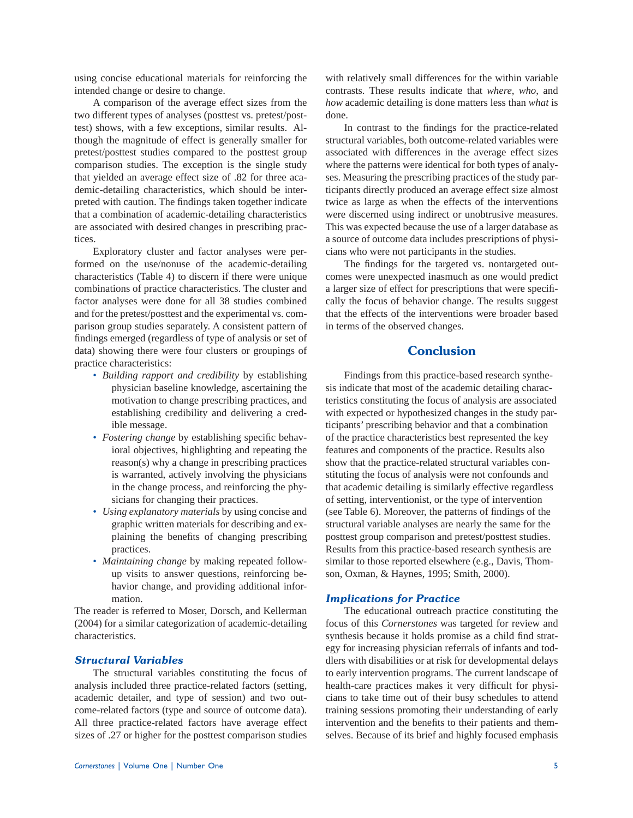using concise educational materials for reinforcing the intended change or desire to change.

 A comparison of the average effect sizes from the two different types of analyses (posttest vs. pretest/posttest) shows, with a few exceptions, similar results. Although the magnitude of effect is generally smaller for pretest/posttest studies compared to the posttest group comparison studies. The exception is the single study that yielded an average effect size of .82 for three academic-detailing characteristics, which should be interpreted with caution. The findings taken together indicate that a combination of academic-detailing characteristics are associated with desired changes in prescribing practices.

 Exploratory cluster and factor analyses were performed on the use/nonuse of the academic-detailing characteristics (Table 4) to discern if there were unique combinations of practice characteristics. The cluster and factor analyses were done for all 38 studies combined and for the pretest/posttest and the experimental vs. comparison group studies separately. A consistent pattern of findings emerged (regardless of type of analysis or set of data) showing there were four clusters or groupings of practice characteristics:

- *Building rapport and credibility* by establishing physician baseline knowledge, ascertaining the motivation to change prescribing practices, and establishing credibility and delivering a credible message.
- *Fostering change* by establishing specific behavioral objectives, highlighting and repeating the reason(s) why a change in prescribing practices is warranted, actively involving the physicians in the change process, and reinforcing the physicians for changing their practices.
- *Using explanatory materials* by using concise and graphic written materials for describing and explaining the benefits of changing prescribing practices.
- *Maintaining change* by making repeated followup visits to answer questions, reinforcing behavior change, and providing additional information.

The reader is referred to Moser, Dorsch, and Kellerman (2004) for a similar categorization of academic-detailing characteristics.

### *Structural Variables*

 The structural variables constituting the focus of analysis included three practice-related factors (setting, academic detailer, and type of session) and two outcome-related factors (type and source of outcome data). All three practice-related factors have average effect sizes of .27 or higher for the posttest comparison studies with relatively small differences for the within variable contrasts. These results indicate that *where*, *who*, and *how* academic detailing is done matters less than *what* is done.

In contrast to the findings for the practice-related structural variables, both outcome-related variables were associated with differences in the average effect sizes where the patterns were identical for both types of analyses. Measuring the prescribing practices of the study participants directly produced an average effect size almost twice as large as when the effects of the interventions were discerned using indirect or unobtrusive measures. This was expected because the use of a larger database as a source of outcome data includes prescriptions of physicians who were not participants in the studies.

The findings for the targeted vs. nontargeted outcomes were unexpected inasmuch as one would predict a larger size of effect for prescriptions that were specifically the focus of behavior change. The results suggest that the effects of the interventions were broader based in terms of the observed changes.

# **Conclusion**

 Findings from this practice-based research synthesis indicate that most of the academic detailing characteristics constituting the focus of analysis are associated with expected or hypothesized changes in the study participants' prescribing behavior and that a combination of the practice characteristics best represented the key features and components of the practice. Results also show that the practice-related structural variables constituting the focus of analysis were not confounds and that academic detailing is similarly effective regardless of setting, interventionist, or the type of intervention (see Table 6). Moreover, the patterns of findings of the structural variable analyses are nearly the same for the posttest group comparison and pretest/posttest studies. Results from this practice-based research synthesis are similar to those reported elsewhere (e.g., Davis, Thomson, Oxman, & Haynes, 1995; Smith, 2000).

#### *Implications for Practice*

 The educational outreach practice constituting the focus of this *Cornerstones* was targeted for review and synthesis because it holds promise as a child find strategy for increasing physician referrals of infants and toddlers with disabilities or at risk for developmental delays to early intervention programs. The current landscape of health-care practices makes it very difficult for physicians to take time out of their busy schedules to attend training sessions promoting their understanding of early intervention and the benefits to their patients and themselves. Because of its brief and highly focused emphasis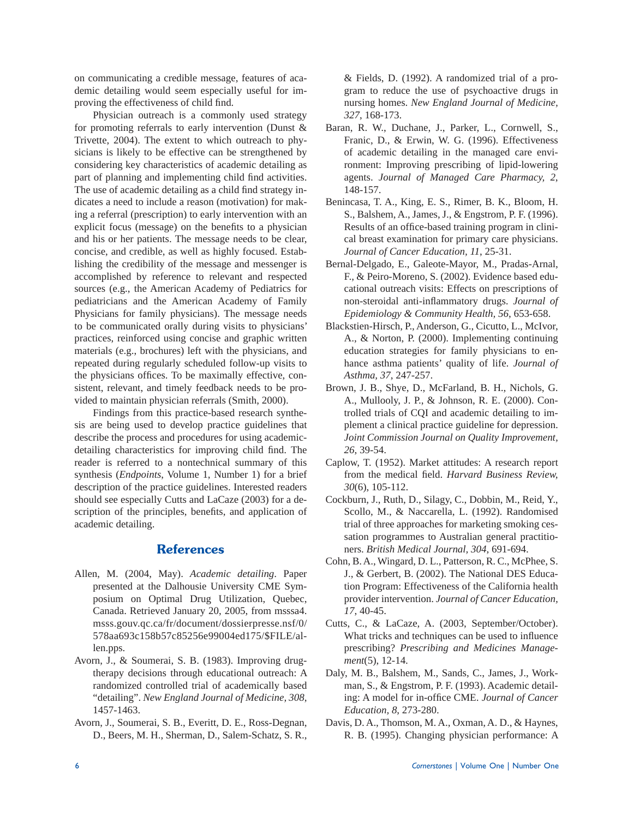on communicating a credible message, features of academic detailing would seem especially useful for improving the effectiveness of child find.

 Physician outreach is a commonly used strategy for promoting referrals to early intervention (Dunst & Trivette, 2004). The extent to which outreach to physicians is likely to be effective can be strengthened by considering key characteristics of academic detailing as part of planning and implementing child find activities. The use of academic detailing as a child find strategy indicates a need to include a reason (motivation) for making a referral (prescription) to early intervention with an explicit focus (message) on the benefits to a physician and his or her patients. The message needs to be clear, concise, and credible, as well as highly focused. Establishing the credibility of the message and messenger is accomplished by reference to relevant and respected sources (e.g., the American Academy of Pediatrics for pediatricians and the American Academy of Family Physicians for family physicians). The message needs to be communicated orally during visits to physicians' practices, reinforced using concise and graphic written materials (e.g., brochures) left with the physicians, and repeated during regularly scheduled follow-up visits to the physicians offices. To be maximally effective, consistent, relevant, and timely feedback needs to be provided to maintain physician referrals (Smith, 2000).

 Findings from this practice-based research synthesis are being used to develop practice guidelines that describe the process and procedures for using academicdetailing characteristics for improving child find. The reader is referred to a nontechnical summary of this synthesis (*Endpoints*, Volume 1, Number 1) for a brief description of the practice guidelines. Interested readers should see especially Cutts and LaCaze (2003) for a description of the principles, benefits, and application of academic detailing.

# **References**

- Allen, M. (2004, May). *Academic detailing*. Paper presented at the Dalhousie University CME Symposium on Optimal Drug Utilization, Quebec, Canada. Retrieved January 20, 2005, from msssa4. msss.gouv.qc.ca/fr/document/dossierpresse.nsf/0/ 578aa693c158b57c85256e99004ed175/\$FILE/allen.pps.
- Avorn, J., & Soumerai, S. B. (1983). Improving drugtherapy decisions through educational outreach: A randomized controlled trial of academically based "detailing". *New England Journal of Medicine, 308*, 1457-1463.
- Avorn, J., Soumerai, S. B., Everitt, D. E., Ross-Degnan, D., Beers, M. H., Sherman, D., Salem-Schatz, S. R.,

& Fields, D. (1992). A randomized trial of a program to reduce the use of psychoactive drugs in nursing homes. *New England Journal of Medicine, 327*, 168-173.

- Baran, R. W., Duchane, J., Parker, L., Cornwell, S., Franic, D., & Erwin, W. G. (1996). Effectiveness of academic detailing in the managed care environment: Improving prescribing of lipid-lowering agents. *Journal of Managed Care Pharmacy, 2*, 148-157.
- Benincasa, T. A., King, E. S., Rimer, B. K., Bloom, H. S., Balshem, A., James, J., & Engstrom, P. F. (1996). Results of an office-based training program in clinical breast examination for primary care physicians. *Journal of Cancer Education, 11*, 25-31.
- Bernal-Delgado, E., Galeote-Mayor, M., Pradas-Arnal, F., & Peiro-Moreno, S. (2002). Evidence based educational outreach visits: Effects on prescriptions of non-steroidal anti-inflammatory drugs. *Journal of Epidemiology & Community Health, 56*, 653-658.
- Blackstien-Hirsch, P., Anderson, G., Cicutto, L., McIvor, A., & Norton, P. (2000). Implementing continuing education strategies for family physicians to enhance asthma patients' quality of life. *Journal of Asthma, 37*, 247-257.
- Brown, J. B., Shye, D., McFarland, B. H., Nichols, G. A., Mullooly, J. P., & Johnson, R. E. (2000). Controlled trials of CQI and academic detailing to implement a clinical practice guideline for depression. *Joint Commission Journal on Quality Improvement, 26*, 39-54.
- Caplow, T. (1952). Market attitudes: A research report from the medical field. *Harvard Business Review*, *30*(6), 105-112.
- Cockburn, J., Ruth, D., Silagy, C., Dobbin, M., Reid, Y., Scollo, M., & Naccarella, L. (1992). Randomised trial of three approaches for marketing smoking cessation programmes to Australian general practitioners. *British Medical Journal, 304*, 691-694.
- Cohn, B. A., Wingard, D. L., Patterson, R. C., McPhee, S. J., & Gerbert, B. (2002). The National DES Education Program: Effectiveness of the California health provider intervention. *Journal of Cancer Education, 17*, 40-45.
- Cutts, C., & LaCaze, A. (2003, September/October). What tricks and techniques can be used to influence prescribing? *Prescribing and Medicines Management*(5), 12-14.
- Daly, M. B., Balshem, M., Sands, C., James, J., Workman, S., & Engstrom, P. F. (1993). Academic detailing: A model for in-office CME. Journal of Cancer *Education, 8*, 273-280.
- Davis, D. A., Thomson, M. A., Oxman, A. D., & Haynes, R. B. (1995). Changing physician performance: A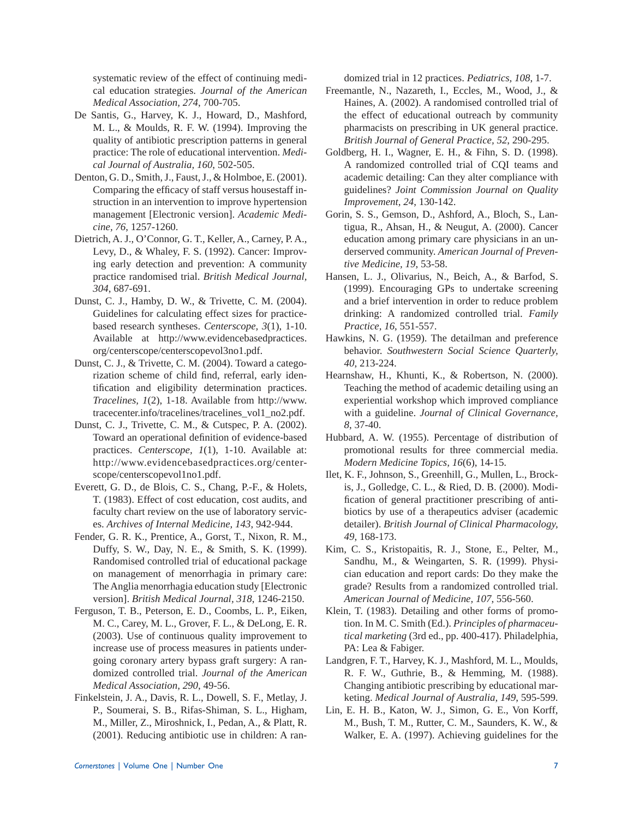systematic review of the effect of continuing medical education strategies. *Journal of the American Medical Association, 274*, 700-705.

- De Santis, G., Harvey, K. J., Howard, D., Mashford, M. L., & Moulds, R. F. W. (1994). Improving the quality of antibiotic prescription patterns in general practice: The role of educational intervention. *Medical Journal of Australia, 160*, 502-505.
- Denton, G. D., Smith, J., Faust, J., & Holmboe, E. (2001). Comparing the efficacy of staff versus housestaff instruction in an intervention to improve hypertension management [Electronic version]. *Academic Medicine, 76*, 1257-1260.
- Dietrich, A. J., O'Connor, G. T., Keller, A., Carney, P. A., Levy, D., & Whaley, F. S. (1992). Cancer: Improving early detection and prevention: A community practice randomised trial. *British Medical Journal, 304*, 687-691.
- Dunst, C. J., Hamby, D. W., & Trivette, C. M. (2004). Guidelines for calculating effect sizes for practicebased research syntheses. *Centerscope, 3*(1), 1-10. Available at http://www.evidencebasedpractices. org/centerscope/centerscopevol3no1.pdf.
- Dunst, C. J., & Trivette, C. M. (2004). Toward a categorization scheme of child find, referral, early identification and eligibility determination practices. *Tracelines, 1*(2), 1-18. Available from http://www. tracecenter.info/tracelines/tracelines\_vol1\_no2.pdf.
- Dunst, C. J., Trivette, C. M., & Cutspec, P. A. (2002). Toward an operational definition of evidence-based practices. *Centerscope, 1*(1), 1-10. Available at: http://www.evidencebasedpractices.org/centerscope/centerscopevol1no1.pdf.
- Everett, G. D., de Blois, C. S., Chang, P.-F., & Holets, T. (1983). Effect of cost education, cost audits, and faculty chart review on the use of laboratory services. *Archives of Internal Medicine, 143*, 942-944.
- Fender, G. R. K., Prentice, A., Gorst, T., Nixon, R. M., Duffy, S. W., Day, N. E., & Smith, S. K. (1999). Randomised controlled trial of educational package on management of menorrhagia in primary care: The Anglia menorrhagia education study [Electronic version]. *British Medical Journal, 318*, 1246-2150.
- Ferguson, T. B., Peterson, E. D., Coombs, L. P., Eiken, M. C., Carey, M. L., Grover, F. L., & DeLong, E. R. (2003). Use of continuous quality improvement to increase use of process measures in patients undergoing coronary artery bypass graft surgery: A randomized controlled trial. *Journal of the American Medical Association, 290*, 49-56.
- Finkelstein, J. A., Davis, R. L., Dowell, S. F., Metlay, J. P., Soumerai, S. B., Rifas-Shiman, S. L., Higham, M., Miller, Z., Miroshnick, I., Pedan, A., & Platt, R. (2001). Reducing antibiotic use in children: A ran-

domized trial in 12 practices. *Pediatrics, 108*, 1-7.

- Freemantle, N., Nazareth, I., Eccles, M., Wood, J., & Haines, A. (2002). A randomised controlled trial of the effect of educational outreach by community pharmacists on prescribing in UK general practice. *British Journal of General Practice, 52*, 290-295.
- Goldberg, H. I., Wagner, E. H., & Fihn, S. D. (1998). A randomized controlled trial of CQI teams and academic detailing: Can they alter compliance with guidelines? *Joint Commission Journal on Quality Improvement, 24*, 130-142.
- Gorin, S. S., Gemson, D., Ashford, A., Bloch, S., Lantigua, R., Ahsan, H., & Neugut, A. (2000). Cancer education among primary care physicians in an underserved community. *American Journal of Preventive Medicine, 19*, 53-58.
- Hansen, L. J., Olivarius, N., Beich, A., & Barfod, S. (1999). Encouraging GPs to undertake screening and a brief intervention in order to reduce problem drinking: A randomized controlled trial. *Family Practice, 16*, 551-557.
- Hawkins, N. G. (1959). The detailman and preference behavior. *Southwestern Social Science Quarterly, 40*, 213-224.
- Hearnshaw, H., Khunti, K., & Robertson, N. (2000). Teaching the method of academic detailing using an experiential workshop which improved compliance with a guideline. *Journal of Clinical Governance, 8*, 37-40.
- Hubbard, A. W. (1955). Percentage of distribution of promotional results for three commercial media. *Modern Medicine Topics, 16*(6), 14-15.
- Ilet, K. F., Johnson, S., Greenhill, G., Mullen, L., Brockis, J., Golledge, C. L., & Ried, D. B. (2000). Modification of general practitioner prescribing of antibiotics by use of a therapeutics adviser (academic detailer). *British Journal of Clinical Pharmacology, 49*, 168-173.
- Kim, C. S., Kristopaitis, R. J., Stone, E., Pelter, M., Sandhu, M., & Weingarten, S. R. (1999). Physician education and report cards: Do they make the grade? Results from a randomized controlled trial. *American Journal of Medicine, 107*, 556-560.
- Klein, T. (1983). Detailing and other forms of promotion. In M. C. Smith (Ed.). *Principles of pharmaceutical marketing* (3rd ed., pp. 400-417). Philadelphia, PA: Lea & Fabiger.
- Landgren, F. T., Harvey, K. J., Mashford, M. L., Moulds, R. F. W., Guthrie, B., & Hemming, M. (1988). Changing antibiotic prescribing by educational marketing. *Medical Journal of Australia, 149*, 595-599.
- Lin, E. H. B., Katon, W. J., Simon, G. E., Von Korff, M., Bush, T. M., Rutter, C. M., Saunders, K. W., & Walker, E. A. (1997). Achieving guidelines for the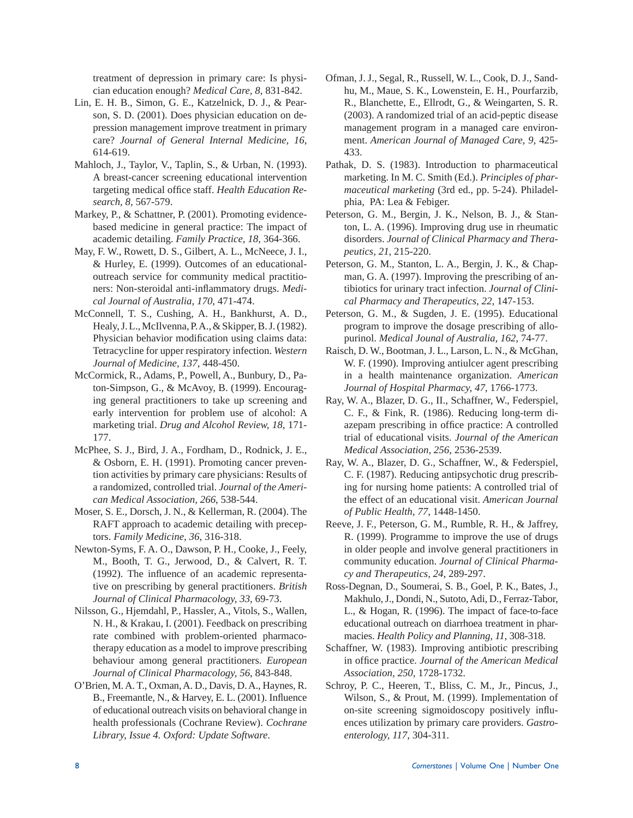treatment of depression in primary care: Is physician education enough? *Medical Care, 8*, 831-842.

- Lin, E. H. B., Simon, G. E., Katzelnick, D. J., & Pearson, S. D. (2001). Does physician education on depression management improve treatment in primary care? *Journal of General Internal Medicine, 16*, 614-619.
- Mahloch, J., Taylor, V., Taplin, S., & Urban, N. (1993). A breast-cancer screening educational intervention targeting medical office staff. *Health Education Research, 8*, 567-579.
- Markey, P., & Schattner, P. (2001). Promoting evidencebased medicine in general practice: The impact of academic detailing. *Family Practice, 18*, 364-366.
- May, F. W., Rowett, D. S., Gilbert, A. L., McNeece, J. I., & Hurley, E. (1999). Outcomes of an educationaloutreach service for community medical practitioners: Non-steroidal anti-inflammatory drugs. Medi*cal Journal of Australia, 170*, 471-474.
- McConnell, T. S., Cushing, A. H., Bankhurst, A. D., Healy, J. L., McIlvenna, P. A., & Skipper, B. J. (1982). Physician behavior modification using claims data: Tetracycline for upper respiratory infection. *Western Journal of Medicine, 137*, 448-450.
- McCormick, R., Adams, P., Powell, A., Bunbury, D., Paton-Simpson, G., & McAvoy, B. (1999). Encouraging general practitioners to take up screening and early intervention for problem use of alcohol: A marketing trial. *Drug and Alcohol Review, 18*, 171- 177.
- McPhee, S. J., Bird, J. A., Fordham, D., Rodnick, J. E., & Osborn, E. H. (1991). Promoting cancer prevention activities by primary care physicians: Results of a randomized, controlled trial. *Journal of the American Medical Association, 266*, 538-544.
- Moser, S. E., Dorsch, J. N., & Kellerman, R. (2004). The RAFT approach to academic detailing with preceptors. *Family Medicine, 36*, 316-318.
- Newton-Syms, F. A. O., Dawson, P. H., Cooke, J., Feely, M., Booth, T. G., Jerwood, D., & Calvert, R. T. (1992). The influence of an academic representative on prescribing by general practitioners. *British Journal of Clinical Pharmacology, 33*, 69-73.
- Nilsson, G., Hjemdahl, P., Hassler, A., Vitols, S., Wallen, N. H., & Krakau, I. (2001). Feedback on prescribing rate combined with problem-oriented pharmacotherapy education as a model to improve prescribing behaviour among general practitioners. *European Journal of Clinical Pharmacology, 56*, 843-848.
- O'Brien, M. A. T., Oxman, A. D., Davis, D. A., Haynes, R. B., Freemantle, N., & Harvey, E. L. (2001). Influence of educational outreach visits on behavioral change in health professionals (Cochrane Review). *Cochrane Library, Issue 4. Oxford: Update Software*.
- Ofman, J. J., Segal, R., Russell, W. L., Cook, D. J., Sandhu, M., Maue, S. K., Lowenstein, E. H., Pourfarzib, R., Blanchette, E., Ellrodt, G., & Weingarten, S. R. (2003). A randomized trial of an acid-peptic disease management program in a managed care environment. *American Journal of Managed Care, 9*, 425- 433.
- Pathak, D. S. (1983). Introduction to pharmaceutical marketing. In M. C. Smith (Ed.). *Principles of pharmaceutical marketing* (3rd ed., pp. 5-24). Philadelphia, PA: Lea & Febiger.
- Peterson, G. M., Bergin, J. K., Nelson, B. J., & Stanton, L. A. (1996). Improving drug use in rheumatic disorders. *Journal of Clinical Pharmacy and Therapeutics, 21*, 215-220.
- Peterson, G. M., Stanton, L. A., Bergin, J. K., & Chapman, G. A. (1997). Improving the prescribing of antibiotics for urinary tract infection. *Journal of Clinical Pharmacy and Therapeutics, 22*, 147-153.
- Peterson, G. M., & Sugden, J. E. (1995). Educational program to improve the dosage prescribing of allopurinol. *Medical Jounal of Australia, 162*, 74-77.
- Raisch, D. W., Bootman, J. L., Larson, L. N., & McGhan, W. F. (1990). Improving antiulcer agent prescribing in a health maintenance organization. *American Journal of Hospital Pharmacy, 47*, 1766-1773.
- Ray, W. A., Blazer, D. G., II., Schaffner, W., Federspiel, C. F., & Fink, R. (1986). Reducing long-term diazepam prescribing in office practice: A controlled trial of educational visits. *Journal of the American Medical Association, 256*, 2536-2539.
- Ray, W. A., Blazer, D. G., Schaffner, W., & Federspiel, C. F. (1987). Reducing antipsychotic drug prescribing for nursing home patients: A controlled trial of the effect of an educational visit. *American Journal of Public Health, 77*, 1448-1450.
- Reeve, J. F., Peterson, G. M., Rumble, R. H., & Jaffrey, R. (1999). Programme to improve the use of drugs in older people and involve general practitioners in community education. *Journal of Clinical Pharmacy and Therapeutics, 24*, 289-297.
- Ross-Degnan, D., Soumerai, S. B., Goel, P. K., Bates, J., Makhulo, J., Dondi, N., Sutoto, Adi, D., Ferraz-Tabor, L., & Hogan, R. (1996). The impact of face-to-face educational outreach on diarrhoea treatment in pharmacies. *Health Policy and Planning, 11*, 308-318.
- Schaffner, W. (1983). Improving antibiotic prescribing in office practice. *Journal of the American Medical Association, 250*, 1728-1732.
- Schroy, P. C., Heeren, T., Bliss, C. M., Jr., Pincus, J., Wilson, S., & Prout, M. (1999). Implementation of on-site screening sigmoidoscopy positively influences utilization by primary care providers. *Gastroenterology, 117*, 304-311.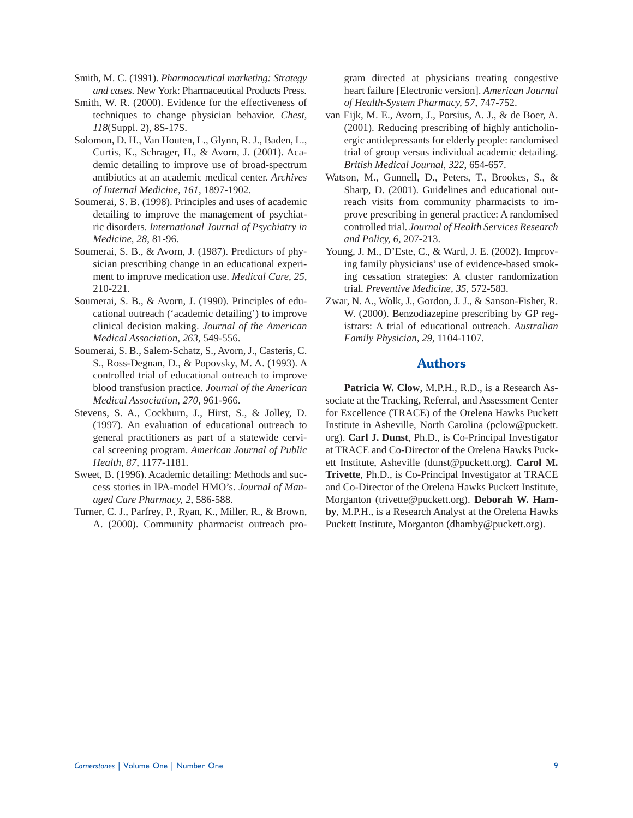- Smith, M. C. (1991). *Pharmaceutical marketing: Strategy and cases*. New York: Pharmaceutical Products Press.
- Smith, W. R. (2000). Evidence for the effectiveness of techniques to change physician behavior. *Chest, 118*(Suppl. 2), 8S-17S.
- Solomon, D. H., Van Houten, L., Glynn, R. J., Baden, L., Curtis, K., Schrager, H., & Avorn, J. (2001). Academic detailing to improve use of broad-spectrum antibiotics at an academic medical center. *Archives of Internal Medicine, 161*, 1897-1902.
- Soumerai, S. B. (1998). Principles and uses of academic detailing to improve the management of psychiatric disorders. *International Journal of Psychiatry in Medicine, 28*, 81-96.
- Soumerai, S. B., & Avorn, J. (1987). Predictors of physician prescribing change in an educational experiment to improve medication use. *Medical Care, 25*, 210-221.
- Soumerai, S. B., & Avorn, J. (1990). Principles of educational outreach ('academic detailing') to improve clinical decision making. *Journal of the American Medical Association, 263*, 549-556.
- Soumerai, S. B., Salem-Schatz, S., Avorn, J., Casteris, C. S., Ross-Degnan, D., & Popovsky, M. A. (1993). A controlled trial of educational outreach to improve blood transfusion practice. *Journal of the American Medical Association, 270*, 961-966.
- Stevens, S. A., Cockburn, J., Hirst, S., & Jolley, D. (1997). An evaluation of educational outreach to general practitioners as part of a statewide cervical screening program. *American Journal of Public Health, 87*, 1177-1181.
- Sweet, B. (1996). Academic detailing: Methods and success stories in IPA-model HMO's. *Journal of Managed Care Pharmacy, 2*, 586-588.
- Turner, C. J., Parfrey, P., Ryan, K., Miller, R., & Brown, A. (2000). Community pharmacist outreach pro-

gram directed at physicians treating congestive heart failure [Electronic version]. *American Journal of Health-System Pharmacy, 57*, 747-752.

- van Eijk, M. E., Avorn, J., Porsius, A. J., & de Boer, A. (2001). Reducing prescribing of highly anticholinergic antidepressants for elderly people: randomised trial of group versus individual academic detailing. *British Medical Journal, 322*, 654-657.
- Watson, M., Gunnell, D., Peters, T., Brookes, S., & Sharp, D. (2001). Guidelines and educational outreach visits from community pharmacists to improve prescribing in general practice: A randomised controlled trial. *Journal of Health Services Research and Policy, 6*, 207-213.
- Young, J. M., D'Este, C., & Ward, J. E. (2002). Improving family physicians' use of evidence-based smoking cessation strategies: A cluster randomization trial. *Preventive Medicine, 35*, 572-583.
- Zwar, N. A., Wolk, J., Gordon, J. J., & Sanson-Fisher, R. W. (2000). Benzodiazepine prescribing by GP registrars: A trial of educational outreach. *Australian Family Physician, 29*, 1104-1107.

## **Authors**

**Patricia W. Clow**, M.P.H., R.D., is a Research Associate at the Tracking, Referral, and Assessment Center for Excellence (TRACE) of the Orelena Hawks Puckett Institute in Asheville, North Carolina (pclow@puckett. org). **Carl J. Dunst**, Ph.D., is Co-Principal Investigator at TRACE and Co-Director of the Orelena Hawks Puckett Institute, Asheville (dunst@puckett.org). **Carol M. Trivette**, Ph.D., is Co-Principal Investigator at TRACE and Co-Director of the Orelena Hawks Puckett Institute, Morganton (trivette@puckett.org). **Deborah W. Hamby**, M.P.H., is a Research Analyst at the Orelena Hawks Puckett Institute, Morganton (dhamby@puckett.org).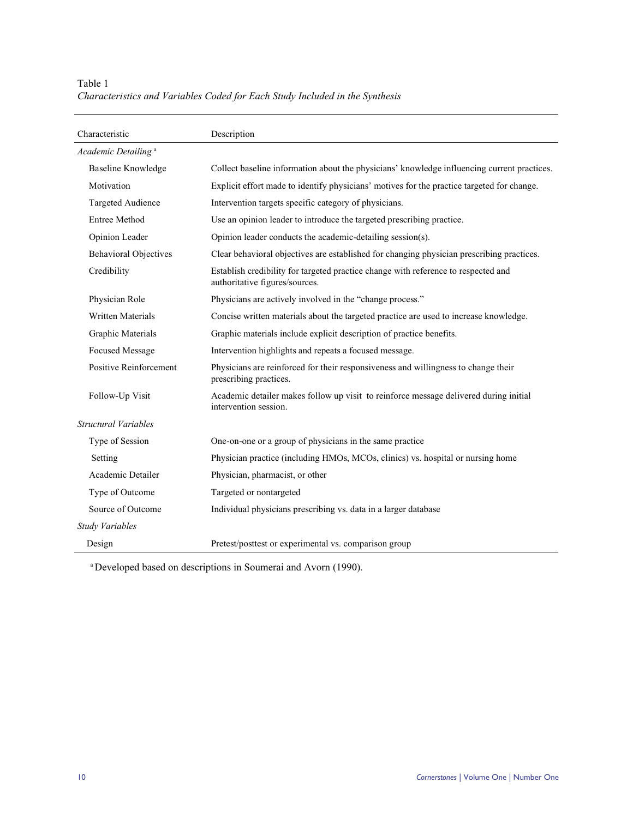Table 1 *Characteristics and Variables Coded for Each Study Included in the Synthesis* 

| Characteristic                  | Description                                                                                                          |
|---------------------------------|----------------------------------------------------------------------------------------------------------------------|
| Academic Detailing <sup>a</sup> |                                                                                                                      |
| <b>Baseline Knowledge</b>       | Collect baseline information about the physicians' knowledge influencing current practices.                          |
| Motivation                      | Explicit effort made to identify physicians' motives for the practice targeted for change.                           |
| Targeted Audience               | Intervention targets specific category of physicians.                                                                |
| <b>Entree Method</b>            | Use an opinion leader to introduce the targeted prescribing practice.                                                |
| Opinion Leader                  | Opinion leader conducts the academic-detailing session(s).                                                           |
| <b>Behavioral Objectives</b>    | Clear behavioral objectives are established for changing physician prescribing practices.                            |
| Credibility                     | Establish credibility for targeted practice change with reference to respected and<br>authoritative figures/sources. |
| Physician Role                  | Physicians are actively involved in the "change process."                                                            |
| <b>Written Materials</b>        | Concise written materials about the targeted practice are used to increase knowledge.                                |
| Graphic Materials               | Graphic materials include explicit description of practice benefits.                                                 |
| <b>Focused Message</b>          | Intervention highlights and repeats a focused message.                                                               |
| <b>Positive Reinforcement</b>   | Physicians are reinforced for their responsiveness and willingness to change their<br>prescribing practices.         |
| Follow-Up Visit                 | Academic detailer makes follow up visit to reinforce message delivered during initial<br>intervention session.       |
| Structural Variables            |                                                                                                                      |
| Type of Session                 | One-on-one or a group of physicians in the same practice                                                             |
| Setting                         | Physician practice (including HMOs, MCOs, clinics) vs. hospital or nursing home                                      |
| Academic Detailer               | Physician, pharmacist, or other                                                                                      |
| Type of Outcome                 | Targeted or nontargeted                                                                                              |
| Source of Outcome               | Individual physicians prescribing vs. data in a larger database                                                      |
| Study Variables                 |                                                                                                                      |
| Design                          | Pretest/posttest or experimental vs. comparison group                                                                |

a Developed based on descriptions in Soumerai and Avorn (1990).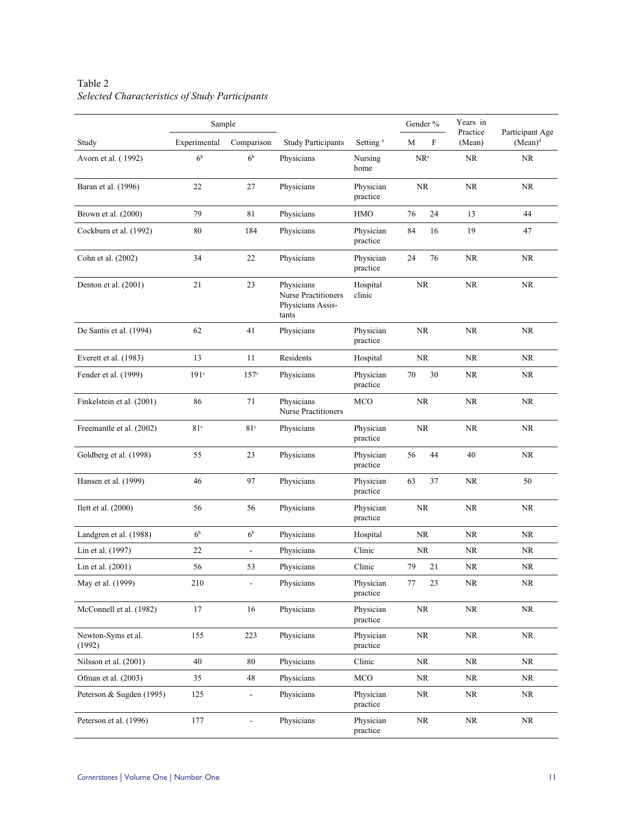|                              |                  | Sample                       |                                                                 |                                    | Gender %      |                    | Participant Age |  |
|------------------------------|------------------|------------------------------|-----------------------------------------------------------------|------------------------------------|---------------|--------------------|-----------------|--|
| Study                        | Experimental     | Comparison                   | <b>Study Participants</b>                                       | Setting <sup>a</sup>               | F<br>М        | Practice<br>(Mean) | $(Mean)^d$      |  |
| Avorn et al. (1992)          | 6 <sup>b</sup>   | 6 <sup>b</sup>               | Physicians                                                      | Nursing<br>home                    | $NR^e$        | <b>NR</b>          | NR.             |  |
| Baran et al. (1996)          | 22               | 27                           | Physicians                                                      | Physician<br>practice              | <b>NR</b>     | <b>NR</b>          | NR.             |  |
| Brown et al. (2000)          | 79               | 81                           | Physicians                                                      | HMO                                | 76<br>24      | 13                 | 44              |  |
| Cockburn et al. (1992)       | 80               | 184                          | Physicians                                                      | Physician<br>practice              | 84<br>16      | 19                 | 47              |  |
| Cohn et al. (2002)           | 34               | 22                           | Physicians                                                      | Physician<br>practice              | 24<br>76      | <b>NR</b>          | <b>NR</b>       |  |
| Denton et al. (2001)         | 21               | 23                           | Physicians<br>Nurse Practitioners<br>Physicians Assis-<br>tants | Hospital<br>clinic                 | NR            | NR                 | NR              |  |
| De Santis et al. (1994)      | 62               | 41                           | Physicians                                                      | Physician<br>practice              | <b>NR</b>     | <b>NR</b>          | <b>NR</b>       |  |
| Everett et al. $(1983)$      | 13               | 11                           | Residents                                                       | Hospital                           | <b>NR</b>     | <b>NR</b>          | NR.             |  |
| Fender et al. (1999)         | 191 <sup>c</sup> | $157^\circ$                  | Physicians                                                      | Physician<br>practice              | 70<br>30      | NR                 | NR              |  |
| Finkelstein et al. (2001)    | 86               | 71                           | Physicians<br><b>Nurse Practitioners</b>                        | <b>MCO</b><br>NR                   |               | <b>NR</b>          | NR              |  |
| Freemantle et al. (2002)     | 81 <sup>c</sup>  | 81 <sup>c</sup>              | Physicians                                                      | Physician<br><b>NR</b><br>practice |               | <b>NR</b>          | NR.             |  |
| Goldberg et al. (1998)       | 55               | 23                           | Physicians                                                      | Physician<br>practice              | 56<br>44      | 40                 | <b>NR</b>       |  |
| Hansen et al. (1999)         | 46               | 97                           | Physicians                                                      | Physician<br>practice              | 63<br>37      | <b>NR</b>          | 50              |  |
| Ilett et al. $(2000)$        | 56               | 56                           | Physicians                                                      | Physician<br>practice              | <b>NR</b>     | <b>NR</b>          | NR              |  |
| Landgren et al. (1988)       | 6 <sup>b</sup>   | 6 <sup>b</sup>               | Physicians                                                      | Hospital                           | <b>NR</b>     | NR                 | NR              |  |
| Lin et al. (1997)            | 22               | $\qquad \qquad \blacksquare$ | Physicians                                                      | Clinic                             | <b>NR</b>     | NR.                | NR              |  |
| Lin et al. (2001)            | 56               | 53                           | Physicians                                                      | Clinic                             | 79<br>21      | <b>NR</b>          | NR              |  |
| May et al. (1999)            | 210              | $\overline{\phantom{a}}$     | Physicians                                                      | Physician<br>practice              | $77 \,$<br>23 | <b>NR</b>          | NR              |  |
| McConnell et al. (1982)      | 17               | 16                           | Physicians                                                      | Physician<br>practice              | NR            | NR                 | NR              |  |
| Newton-Syms et al.<br>(1992) | 155              | 223                          | Physicians                                                      | Physician<br>practice              | NR            | $\rm NR$           | NR              |  |
| Nilsson et al. (2001)        | 40               | 80                           | Physicians                                                      | Clinic                             | NR.           | NR.                | NR              |  |
| Ofman et al. (2003)          | 35               | 48                           | Physicians                                                      | MCO                                | NR            | NR                 | NR              |  |
| Peterson & Sugden (1995)     | 125              | $\overline{\phantom{a}}$     | Physicians                                                      | Physician<br>practice              | <b>NR</b>     | NR                 | NR              |  |
| Peterson et al. (1996)       | 177              | $\blacksquare$               | Physicians                                                      | Physician<br>practice              | $\rm NR$      | NR                 | NR              |  |

# Table 2 *Selected Characteristics of Study Participants*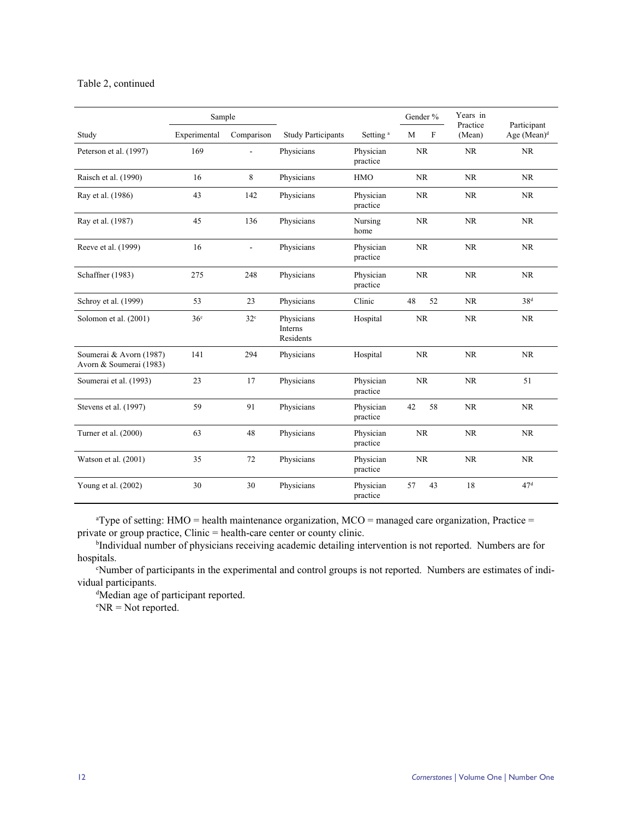#### Table 2, continued

|                                                    | Sample          |                 |                                    |                       | Gender %  | Years in           |                                        |
|----------------------------------------------------|-----------------|-----------------|------------------------------------|-----------------------|-----------|--------------------|----------------------------------------|
| Study                                              | Experimental    | Comparison      | <b>Study Participants</b>          | Setting <sup>a</sup>  | M<br>F    | Practice<br>(Mean) | Participant<br>Age (Mean) <sup>d</sup> |
| Peterson et al. (1997)                             | 169             | L.              | Physicians                         | Physician<br>practice | <b>NR</b> | <b>NR</b>          | <b>NR</b>                              |
| Raisch et al. (1990)                               | 16              | 8               | Physicians                         | <b>HMO</b>            | <b>NR</b> | <b>NR</b>          | <b>NR</b>                              |
| Ray et al. (1986)                                  | 43              | 142             | Physicians                         | Physician<br>practice | <b>NR</b> | <b>NR</b>          | <b>NR</b>                              |
| Ray et al. (1987)                                  | 45              | 136             | Physicians                         | Nursing<br>home       | <b>NR</b> | NR                 | <b>NR</b>                              |
| Reeve et al. (1999)                                | 16              | ÷,              | Physicians                         | Physician<br>practice | <b>NR</b> | <b>NR</b>          | <b>NR</b>                              |
| Schaffner (1983)                                   | 275             | 248             | Physicians                         | Physician<br>practice | NR        |                    | <b>NR</b>                              |
| Schroy et al. (1999)                               | 53              | 23              | Physicians                         | Clinic                | 48<br>52  | NR                 | 38 <sup>d</sup>                        |
| Solomon et al. (2001)                              | 36 <sup>c</sup> | 32 <sup>c</sup> | Physicians<br>Interns<br>Residents | Hospital              | NR        | <b>NR</b>          | <b>NR</b>                              |
| Soumerai & Avorn (1987)<br>Avorn & Soumerai (1983) | 141             | 294             | Physicians                         | Hospital              | <b>NR</b> | NR                 | NR                                     |
| Soumerai et al. (1993)                             | 23              | 17              | Physicians                         | Physician<br>practice | NR        | NR                 | 51                                     |
| Stevens et al. (1997)                              | 59              | 91              | Physicians                         | Physician<br>practice | 58<br>42  | <b>NR</b>          | <b>NR</b>                              |
| Turner et al. (2000)                               | 63              | 48              | Physicians                         | Physician<br>practice | NR        | NR                 | NR                                     |
| Watson et al. (2001)                               | 35              | 72              | Physicians                         | Physician<br>practice | <b>NR</b> | <b>NR</b>          | <b>NR</b>                              |
| Young et al. (2002)                                | 30              | 30              | Physicians                         | Physician<br>practice | 57<br>43  | 18                 | 47 <sup>d</sup>                        |

a Type of setting: HMO = health maintenance organization, MCO = managed care organization, Practice = private or group practice, Clinic = health-care center or county clinic. b

<sup>b</sup>Individual number of physicians receiving academic detailing intervention is not reported. Numbers are for hospitals.

c Number of participants in the experimental and control groups is not reported. Numbers are estimates of individual participants.

d Median age of participant reported.

e NR = Not reported.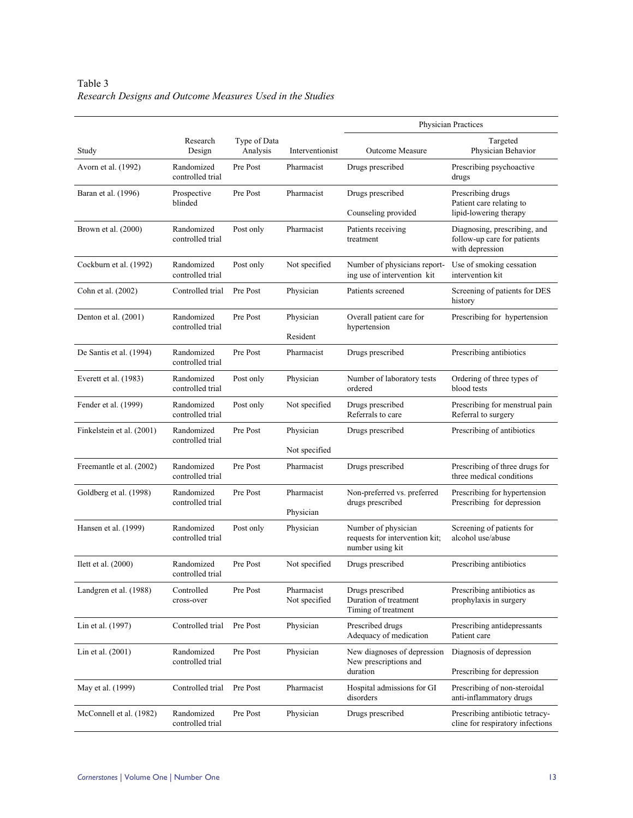Table 3 *Research Designs and Outcome Measures Used in the Studies* 

|                           |                                |                          |                             | Physician Practices                                                       |                                                                                |  |  |
|---------------------------|--------------------------------|--------------------------|-----------------------------|---------------------------------------------------------------------------|--------------------------------------------------------------------------------|--|--|
| Study                     | Research<br>Design             | Type of Data<br>Analysis | Interventionist             | <b>Outcome Measure</b>                                                    | Targeted<br>Physician Behavior                                                 |  |  |
| Avorn et al. (1992)       | Randomized<br>controlled trial | Pre Post                 | Pharmacist                  | Drugs prescribed                                                          | Prescribing psychoactive<br>drugs                                              |  |  |
| Baran et al. (1996)       | Prospective<br>blinded         | Pre Post                 | Pharmacist                  | Drugs prescribed<br>Counseling provided                                   | Prescribing drugs<br>Patient care relating to<br>lipid-lowering therapy        |  |  |
| Brown et al. (2000)       | Randomized<br>controlled trial | Post only                | Pharmacist                  | Patients receiving<br>treatment                                           | Diagnosing, prescribing, and<br>follow-up care for patients<br>with depression |  |  |
| Cockburn et al. (1992)    | Randomized<br>controlled trial | Post only                | Not specified               | Number of physicians report-<br>ing use of intervention kit               | Use of smoking cessation<br>intervention kit                                   |  |  |
| Cohn et al. (2002)        | Controlled trial               | Pre Post                 | Physician                   | Patients screened                                                         | Screening of patients for DES<br>history                                       |  |  |
| Denton et al. (2001)      | Randomized<br>controlled trial | Pre Post                 | Physician<br>Resident       | Overall patient care for<br>hypertension                                  | Prescribing for hypertension                                                   |  |  |
| De Santis et al. (1994)   | Randomized<br>controlled trial | Pre Post                 | Pharmacist                  | Drugs prescribed                                                          | Prescribing antibiotics                                                        |  |  |
| Everett et al. (1983)     | Randomized<br>controlled trial | Post only                | Physician                   | Number of laboratory tests<br>ordered                                     | Ordering of three types of<br>blood tests                                      |  |  |
| Fender et al. (1999)      | Randomized<br>controlled trial | Post only                | Not specified               | Drugs prescribed<br>Referrals to care                                     | Prescribing for menstrual pain<br>Referral to surgery                          |  |  |
| Finkelstein et al. (2001) | Randomized<br>controlled trial | Pre Post                 | Physician<br>Not specified  | Drugs prescribed                                                          | Prescribing of antibiotics                                                     |  |  |
| Freemantle et al. (2002)  | Randomized<br>controlled trial | Pre Post                 | Pharmacist                  | Drugs prescribed                                                          | Prescribing of three drugs for<br>three medical conditions                     |  |  |
| Goldberg et al. (1998)    | Randomized<br>controlled trial | Pre Post                 | Pharmacist<br>Physician     | Non-preferred vs. preferred<br>drugs prescribed                           | Prescribing for hypertension<br>Prescribing for depression                     |  |  |
| Hansen et al. (1999)      | Randomized<br>controlled trial | Post only                | Physician                   | Number of physician<br>requests for intervention kit;<br>number using kit | Screening of patients for<br>alcohol use/abuse                                 |  |  |
| Ilett et al. $(2000)$     | Randomized<br>controlled trial | Pre Post                 | Not specified               | Drugs prescribed                                                          | Prescribing antibiotics                                                        |  |  |
| Landgren et al. (1988)    | Controlled<br>cross-over       | Pre Post                 | Pharmacist<br>Not specified | Drugs prescribed<br>Duration of treatment<br>Timing of treatment          | Prescribing antibiotics as<br>prophylaxis in surgery                           |  |  |
| Lin et al. (1997)         | Controlled trial               | Pre Post                 | Physician                   | Prescribed drugs<br>Adequacy of medication                                | Prescribing antidepressants<br>Patient care                                    |  |  |
| Lin et al. (2001)         | Randomized<br>controlled trial | Pre Post                 | Physician                   | New diagnoses of depression<br>New prescriptions and<br>duration          | Diagnosis of depression<br>Prescribing for depression                          |  |  |
| May et al. (1999)         | Controlled trial               | Pre Post                 | Pharmacist                  | Hospital admissions for GI<br>disorders                                   | Prescribing of non-steroidal<br>anti-inflammatory drugs                        |  |  |
| McConnell et al. (1982)   | Randomized<br>controlled trial | Pre Post                 | Physician                   | Drugs prescribed                                                          | Prescribing antibiotic tetracy-<br>cline for respiratory infections            |  |  |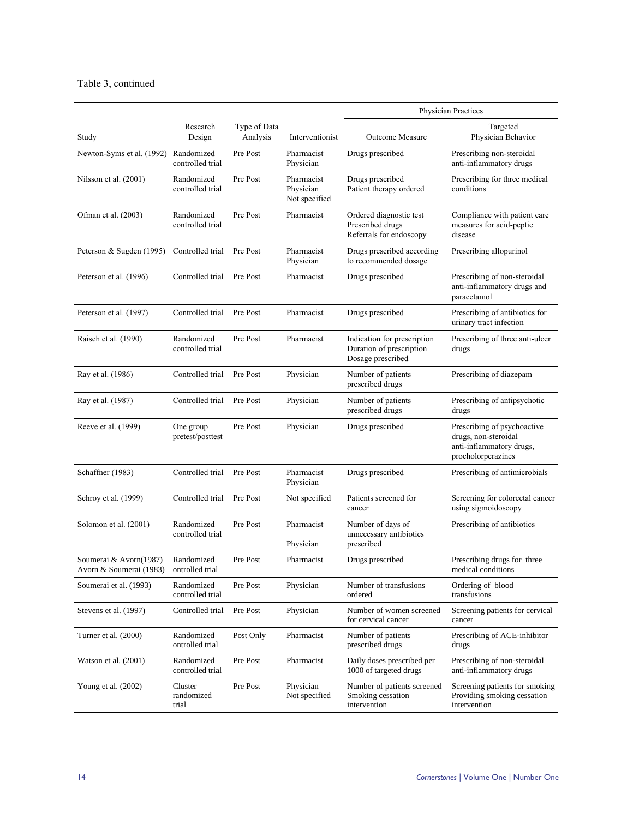## Table 3, continued

|                                                   |                                |                          |                                          | Physician Practices                                                          |                                                                                                       |  |
|---------------------------------------------------|--------------------------------|--------------------------|------------------------------------------|------------------------------------------------------------------------------|-------------------------------------------------------------------------------------------------------|--|
| Study                                             | Research<br>Design             | Type of Data<br>Analysis | Interventionist                          | <b>Outcome Measure</b>                                                       | Targeted<br>Physician Behavior                                                                        |  |
| Newton-Syms et al. (1992) Randomized              | controlled trial               | Pre Post                 | Pharmacist<br>Physician                  | Drugs prescribed                                                             | Prescribing non-steroidal<br>anti-inflammatory drugs                                                  |  |
| Nilsson et al. (2001)                             | Randomized<br>controlled trial | Pre Post                 | Pharmacist<br>Physician<br>Not specified | Drugs prescribed<br>Patient therapy ordered                                  | Prescribing for three medical<br>conditions                                                           |  |
| Ofman et al. (2003)                               | Randomized<br>controlled trial | Pre Post                 | Pharmacist                               | Ordered diagnostic test<br>Prescribed drugs<br>Referrals for endoscopy       | Compliance with patient care<br>measures for acid-peptic<br>disease                                   |  |
| Peterson & Sugden (1995)                          | Controlled trial               | Pre Post                 | Pharmacist<br>Physician                  | Drugs prescribed according<br>to recommended dosage                          | Prescribing allopurinol                                                                               |  |
| Peterson et al. (1996)                            | Controlled trial               | Pre Post                 | Pharmacist                               | Drugs prescribed                                                             | Prescribing of non-steroidal<br>anti-inflammatory drugs and<br>paracetamol                            |  |
| Peterson et al. (1997)                            | Controlled trial               | Pre Post                 | Pharmacist                               | Drugs prescribed                                                             | Prescribing of antibiotics for<br>urinary tract infection                                             |  |
| Raisch et al. (1990)                              | Randomized<br>controlled trial | Pre Post                 | Pharmacist                               | Indication for prescription<br>Duration of prescription<br>Dosage prescribed | Prescribing of three anti-ulcer<br>drugs                                                              |  |
| Ray et al. (1986)                                 | Controlled trial               | Pre Post                 | Physician                                | Number of patients<br>prescribed drugs                                       | Prescribing of diazepam                                                                               |  |
| Ray et al. (1987)                                 | Controlled trial               | Pre Post                 | Physician                                | Number of patients<br>prescribed drugs                                       | Prescribing of antipsychotic<br>drugs                                                                 |  |
| Reeve et al. (1999)                               | One group<br>pretest/posttest  | Pre Post                 | Physician                                | Drugs prescribed                                                             | Prescribing of psychoactive<br>drugs, non-steroidal<br>anti-inflammatory drugs,<br>procholorperazines |  |
| Schaffner (1983)                                  | Controlled trial               | Pre Post                 | Pharmacist<br>Physician                  | Drugs prescribed                                                             | Prescribing of antimicrobials                                                                         |  |
| Schroy et al. (1999)                              | Controlled trial               | Pre Post                 | Not specified                            | Patients screened for<br>cancer                                              | Screening for colorectal cancer<br>using sigmoidoscopy                                                |  |
| Solomon et al. (2001)                             | Randomized<br>controlled trial | Pre Post                 | Pharmacist<br>Physician                  | Number of days of<br>unnecessary antibiotics<br>prescribed                   | Prescribing of antibiotics                                                                            |  |
| Soumerai & Avorn(1987)<br>Avorn & Soumerai (1983) | Randomized<br>ontrolled trial  | Pre Post                 | Pharmacist                               | Drugs prescribed                                                             | Prescribing drugs for three<br>medical conditions                                                     |  |
| Soumerai et al. (1993)                            | Randomized<br>controlled trial | Pre Post                 | Physician                                | Number of transfusions<br>ordered                                            | Ordering of blood<br>transfusions                                                                     |  |
| Stevens et al. (1997)                             | Controlled trial               | Pre Post                 | Physician                                | Number of women screened<br>for cervical cancer                              | Screening patients for cervical<br>cancer                                                             |  |
| Turner et al. (2000)                              | Randomized<br>ontrolled trial  | Post Only                | Pharmacist                               | Number of patients<br>prescribed drugs                                       | Prescribing of ACE-inhibitor<br>drugs                                                                 |  |
| Watson et al. (2001)                              | Randomized<br>controlled trial | Pre Post                 | Pharmacist                               | Daily doses prescribed per<br>1000 of targeted drugs                         | Prescribing of non-steroidal<br>anti-inflammatory drugs                                               |  |
| Young et al. (2002)                               | Cluster<br>randomized<br>trial | Pre Post                 | Physician<br>Not specified               | Number of patients screened<br>Smoking cessation<br>intervention             | Screening patients for smoking<br>Providing smoking cessation<br>intervention                         |  |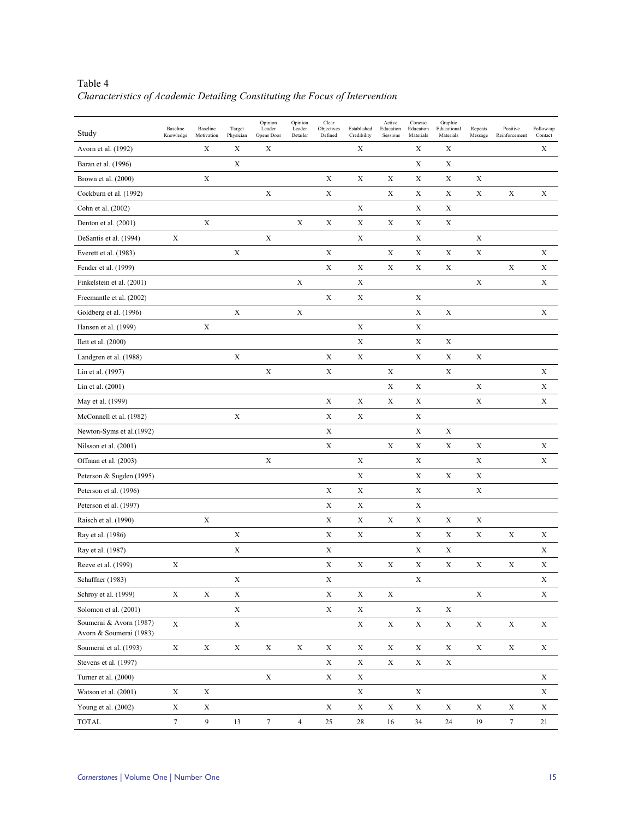| Table 4                                                                      |
|------------------------------------------------------------------------------|
| Characteristics of Academic Detailing Constituting the Focus of Intervention |

| Study                                              | Baseline<br>Knowledge | Baseline<br>Motivation | Target<br>Physician | Opinion<br>Leader<br>Opens Door | Opinion<br>Leader<br>Detailer | Clear<br>Objectives<br>Defined | Established<br>Credibility | Active<br>Education<br>Sessions | Concise<br>Education<br>Materials | Graphic<br>Educational<br>Materials | Repeats<br>Message | Positive<br>Reinforcement | Follow-up<br>Contact |
|----------------------------------------------------|-----------------------|------------------------|---------------------|---------------------------------|-------------------------------|--------------------------------|----------------------------|---------------------------------|-----------------------------------|-------------------------------------|--------------------|---------------------------|----------------------|
| Avorn et al. (1992)                                |                       | X                      | X                   | X                               |                               |                                | X                          |                                 | X                                 | Х                                   |                    |                           | X                    |
| Baran et al. (1996)                                |                       |                        | $\mathbf X$         |                                 |                               |                                |                            |                                 | $\mathbf X$                       | Х                                   |                    |                           |                      |
| Brown et al. (2000)                                |                       | X                      |                     |                                 |                               | X                              | X                          | X                               | Х                                 | Х                                   | X                  |                           |                      |
| Cockburn et al. (1992)                             |                       |                        |                     | X                               |                               | X                              |                            | $\mathbf X$                     | X                                 | X                                   | X                  | X                         | X                    |
| Cohn et al. (2002)                                 |                       |                        |                     |                                 |                               |                                | X                          |                                 | X                                 | X                                   |                    |                           |                      |
| Denton et al. (2001)                               |                       | $\mathbf X$            |                     |                                 | X                             | X                              | X                          | $\mathbf X$                     | X                                 | X                                   |                    |                           |                      |
| DeSantis et al. (1994)                             | $\mathbf X$           |                        |                     | X                               |                               |                                | X                          |                                 | Х                                 |                                     | X                  |                           |                      |
| Everett et al. (1983)                              |                       |                        | $\mathbf X$         |                                 |                               | X                              |                            | $\mathbf X$                     | X                                 | Х                                   | X                  |                           | X                    |
| Fender et al. (1999)                               |                       |                        |                     |                                 |                               | $\mathbf X$                    | X                          | $\mathbf X$                     | X                                 | X                                   |                    | $\mathbf X$               | $\mathbf X$          |
| Finkelstein et al. (2001)                          |                       |                        |                     |                                 | X                             |                                | X                          |                                 |                                   |                                     | X                  |                           | X                    |
| Freemantle et al. (2002)                           |                       |                        |                     |                                 |                               | X                              | X                          |                                 | X                                 |                                     |                    |                           |                      |
| Goldberg et al. (1996)                             |                       |                        | $\mathbf X$         |                                 | $\mathbf X$                   |                                |                            |                                 | X                                 | $\mathbf X$                         |                    |                           | X                    |
| Hansen et al. (1999)                               |                       | Х                      |                     |                                 |                               |                                | $\mathbf X$                |                                 | X                                 |                                     |                    |                           |                      |
| Ilett et al. (2000)                                |                       |                        |                     |                                 |                               |                                | X                          |                                 | X                                 | X                                   |                    |                           |                      |
| Landgren et al. (1988)                             |                       |                        | X                   |                                 |                               | X                              | X                          |                                 | X                                 | X                                   | X                  |                           |                      |
| Lin et al. (1997)                                  |                       |                        |                     | X                               |                               | X                              |                            | $\mathbf X$                     |                                   | X                                   |                    |                           | X                    |
| Lin et al. (2001)                                  |                       |                        |                     |                                 |                               |                                |                            | X                               | Х                                 |                                     | X                  |                           | X                    |
| May et al. (1999)                                  |                       |                        |                     |                                 |                               | X                              | X                          | X                               | X                                 |                                     | $\mathbf X$        |                           | $\mathbf X$          |
| McConnell et al. (1982)                            |                       |                        | $\mathbf X$         |                                 |                               | X                              | X                          |                                 | X                                 |                                     |                    |                           |                      |
| Newton-Syms et al.(1992)                           |                       |                        |                     |                                 |                               | $\mathbf X$                    |                            |                                 | X                                 | Х                                   |                    |                           |                      |
| Nilsson et al. (2001)                              |                       |                        |                     |                                 |                               | $\mathbf X$                    |                            | $\mathbf X$                     | Х                                 | X                                   | X                  |                           | X                    |
| Offman et al. (2003)                               |                       |                        |                     | X                               |                               |                                | X                          |                                 | X                                 |                                     | X                  |                           | X                    |
| Peterson & Sugden (1995)                           |                       |                        |                     |                                 |                               |                                | X                          |                                 | X                                 | X                                   | X                  |                           |                      |
| Peterson et al. (1996)                             |                       |                        |                     |                                 |                               | X                              | X                          |                                 | X                                 |                                     | X                  |                           |                      |
| Peterson et al. (1997)                             |                       |                        |                     |                                 |                               | $\mathbf X$                    | X                          |                                 | Х                                 |                                     |                    |                           |                      |
| Raisch et al. (1990)                               |                       | X                      |                     |                                 |                               | X                              | X                          | X                               | Х                                 | Х                                   | X                  |                           |                      |
| Ray et al. (1986)                                  |                       |                        | $\mathbf X$         |                                 |                               | $\mathbf X$                    | Х                          |                                 | X                                 | X                                   | X                  | X                         | X                    |
| Ray et al. (1987)                                  |                       |                        | X                   |                                 |                               | X                              |                            |                                 | Х                                 | X                                   |                    |                           | X                    |
| Reeve et al. (1999)                                | X                     |                        |                     |                                 |                               | X                              | X                          | $\mathbf X$                     | X                                 | $\mathbf X$                         | X                  | X                         | X                    |
| Schaffner (1983)                                   |                       |                        | Х                   |                                 |                               | X                              |                            |                                 | X                                 |                                     |                    |                           | X                    |
| Schroy et al. (1999)                               | X                     | $\mathbf X$            | $\mathbf X$         |                                 |                               | $\mathbf X$                    | X                          | X                               |                                   |                                     | $\mathbf X$        |                           | $\mathbf X$          |
| Solomon et al. (2001)                              |                       |                        | $\mathbf X$         |                                 |                               | $\mathbf X$                    | $\mathbf X$                |                                 | $\mathbf X$                       | $\mathbf X$                         |                    |                           |                      |
| Soumerai & Avorn (1987)<br>Avorn & Soumerai (1983) | X                     |                        | $\mathbf X$         |                                 |                               |                                | $\mathbf X$                | $\mathbf X$                     | $\mathbf X$                       | $\mathbf X$                         | $\mathbf X$        | $\mathbf X$               | $\mathbf X$          |
| Soumerai et al. (1993)                             | $\mathbf X$           | $\mathbf X$            | $\mathbf X$         | $\mathbf X$                     | $\mathbf X$                   | $\mathbf X$                    | $\mathbf X$                | $\mathbf X$                     | $\mathbf X$                       | $\mathbf X$                         | $\mathbf X$        | $\mathbf X$               | $\mathbf X$          |
| Stevens et al. (1997)                              |                       |                        |                     |                                 |                               | $\mathbf X$                    | $\mathbf X$                | $\mathbf X$                     | $\mathbf X$                       | $\mathbf X$                         |                    |                           |                      |
| Turner et al. (2000)                               |                       |                        |                     | $\mathbf X$                     |                               | $\mathbf X$                    | $\mathbf X$                |                                 |                                   |                                     |                    |                           | $\mathbf X$          |
| Watson et al. (2001)                               | X                     | $\mathbf X$            |                     |                                 |                               |                                | X                          |                                 | $\mathbf X$                       |                                     |                    |                           | $\mathbf X$          |
| Young et al. (2002)                                | X                     | $\mathbf X$            |                     |                                 |                               | $\mathbf X$                    | $\mathbf X$                | $\mathbf X$                     | $\mathbf X$                       | $\mathbf X$                         | $\mathbf X$        | X                         | X                    |
| TOTAL                                              | $7\phantom{.0}$       | $\overline{9}$         | 13                  | $\tau$                          | $\overline{4}$                | 25                             | 28                         | 16                              | 34                                | $24\,$                              | 19                 | $\tau$                    | 21                   |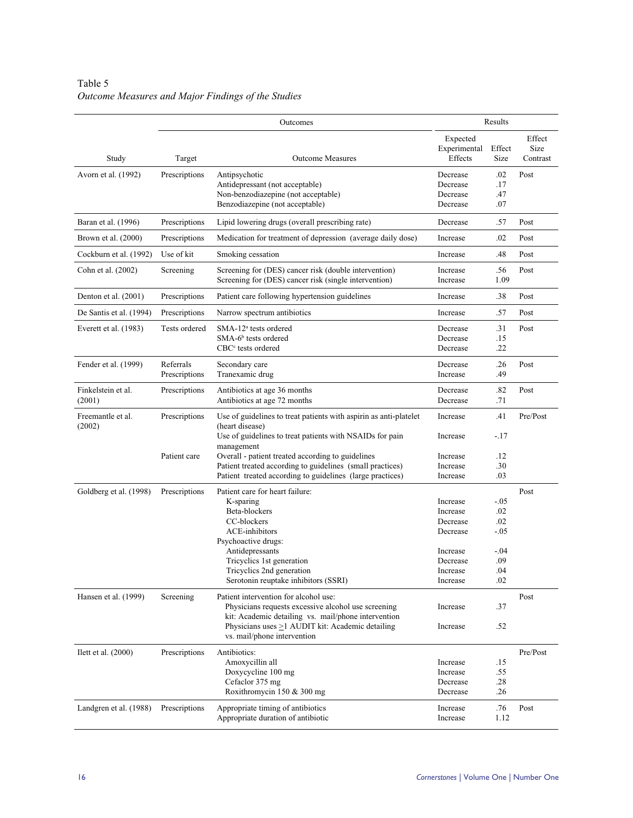# Table 5 *Outcome Measures and Major Findings of the Studies*

|                              |                            | Outcomes                                                                                                                                                                                                                                     |                                                                                              | Results                                                       |                            |
|------------------------------|----------------------------|----------------------------------------------------------------------------------------------------------------------------------------------------------------------------------------------------------------------------------------------|----------------------------------------------------------------------------------------------|---------------------------------------------------------------|----------------------------|
| Study                        | Target                     | <b>Outcome Measures</b>                                                                                                                                                                                                                      | Expected<br>Experimental<br>Effects                                                          | Effect<br>Size                                                | Effect<br>Size<br>Contrast |
| Avorn et al. (1992)          | Prescriptions              | Antipsychotic<br>Antidepressant (not acceptable)<br>Non-benzodiazepine (not acceptable)<br>Benzodiazepine (not acceptable)                                                                                                                   | Decrease<br>Decrease<br>Decrease<br>Decrease                                                 | .02<br>.17<br>.47<br>.07                                      | Post                       |
| Baran et al. (1996)          | Prescriptions              | Lipid lowering drugs (overall prescribing rate)                                                                                                                                                                                              | Decrease                                                                                     | .57                                                           | Post                       |
| Brown et al. (2000)          | Prescriptions              | Medication for treatment of depression (average daily dose)                                                                                                                                                                                  | Increase                                                                                     | .02                                                           | Post                       |
| Cockburn et al. (1992)       | Use of kit                 | Smoking cessation                                                                                                                                                                                                                            | Increase                                                                                     | .48                                                           | Post                       |
| Cohn et al. (2002)           | Screening                  | Screening for (DES) cancer risk (double intervention)<br>Screening for (DES) cancer risk (single intervention)                                                                                                                               | Increase<br>Increase                                                                         | .56<br>1.09                                                   | Post                       |
| Denton et al. (2001)         | Prescriptions              | Patient care following hypertension guidelines                                                                                                                                                                                               | Increase                                                                                     | .38                                                           | Post                       |
| De Santis et al. (1994)      | Prescriptions              | Narrow spectrum antibiotics                                                                                                                                                                                                                  | Increase                                                                                     | .57                                                           | Post                       |
| Everett et al. (1983)        | Tests ordered              | SMA-12 <sup>a</sup> tests ordered<br>$SMA-6b$ tests ordered<br>$CBCc$ tests ordered                                                                                                                                                          | Decrease<br>Decrease<br>Decrease                                                             | .31<br>.15<br>.22                                             | Post                       |
| Fender et al. (1999)         | Referrals<br>Prescriptions | Secondary care<br>Tranexamic drug                                                                                                                                                                                                            | Decrease<br>Increase                                                                         | .26<br>.49                                                    | Post                       |
| Finkelstein et al.<br>(2001) | Prescriptions              | Antibiotics at age 36 months<br>Antibiotics at age 72 months                                                                                                                                                                                 | Decrease<br>Decrease                                                                         | .82<br>.71                                                    | Post                       |
| Freemantle et al.<br>(2002)  | Prescriptions              | Use of guidelines to treat patients with aspirin as anti-platelet<br>(heart disease)<br>Use of guidelines to treat patients with NSAIDs for pain                                                                                             | Increase<br>Increase                                                                         | .41<br>$-.17$                                                 | Pre/Post                   |
|                              | Patient care               | management<br>Overall - patient treated according to guidelines<br>Patient treated according to guidelines (small practices)<br>Patient treated according to guidelines (large practices)                                                    | Increase<br>Increase<br>Increase                                                             | .12<br>.30<br>.03                                             |                            |
| Goldberg et al. (1998)       | Prescriptions              | Patient care for heart failure:<br>K-sparing<br>Beta-blockers<br>CC-blockers<br>ACE-inhibitors<br>Psychoactive drugs:<br>Antidepressants<br>Tricyclics 1st generation<br>Tricyclics 2nd generation<br>Serotonin reuptake inhibitors (SSRI)   | Increase<br>Increase<br>Decrease<br>Decrease<br>Increase<br>Decrease<br>Increase<br>Increase | $-.05$<br>.02<br>.02<br>$-.05$<br>$-.04$<br>.09<br>.04<br>.02 | Post                       |
| Hansen et al. (1999)         | Screening                  | Patient intervention for alcohol use:<br>Physicians requests excessive alcohol use screening<br>kit: Academic detailing vs. mail/phone intervention<br>Physicians uses $\geq$ 1 AUDIT kit: Academic detailing<br>vs. mail/phone intervention | Increase<br>Increase                                                                         | .37<br>.52                                                    | Post                       |
| I lett et al. $(2000)$       | Prescriptions              | Antibiotics:<br>Amoxycillin all<br>Doxycycline 100 mg<br>Cefaclor 375 mg<br>Roxithromycin 150 & 300 mg<br>Appropriate timing of antibiotics                                                                                                  | Increase<br>Increase<br>Decrease<br>Decrease                                                 | .15<br>.55<br>.28<br>.26<br>.76                               | Pre/Post<br>Post           |
| Landgren et al. (1988)       | Prescriptions              | Appropriate duration of antibiotic                                                                                                                                                                                                           | Increase<br>Increase                                                                         | 1.12                                                          |                            |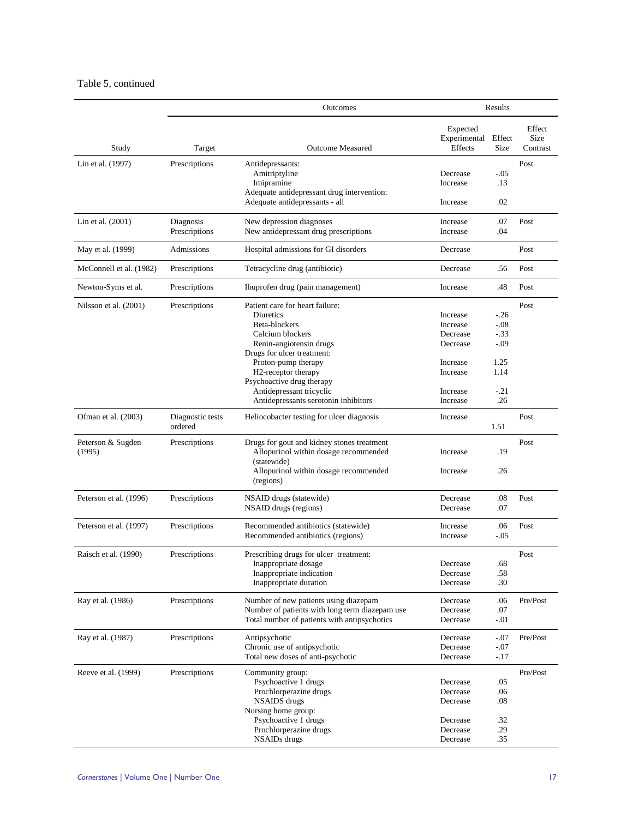## Table 5, continued

|                             |                             | Outcomes                                                                                                                                                                                                                                                                                  |                                                                                              | Results                                                              |                            |
|-----------------------------|-----------------------------|-------------------------------------------------------------------------------------------------------------------------------------------------------------------------------------------------------------------------------------------------------------------------------------------|----------------------------------------------------------------------------------------------|----------------------------------------------------------------------|----------------------------|
| Study                       | Target                      | <b>Outcome Measured</b>                                                                                                                                                                                                                                                                   | Expected<br>Experimental<br>Effects                                                          | Effect<br><b>Size</b>                                                | Effect<br>Size<br>Contrast |
| Lin et al. (1997)           | Prescriptions               | Antidepressants:<br>Amitriptyline<br>Imipramine<br>Adequate antidepressant drug intervention:                                                                                                                                                                                             | Decrease<br>Increase                                                                         | $-0.05$<br>.13                                                       | Post                       |
| Lin et al. (2001)           | Diagnosis<br>Prescriptions  | Adequate antidepressants - all<br>New depression diagnoses<br>New antidepressant drug prescriptions                                                                                                                                                                                       | Increase<br>Increase<br>Increase                                                             | .02<br>.07<br>.04                                                    | Post                       |
| May et al. (1999)           | Admissions                  | Hospital admissions for GI disorders                                                                                                                                                                                                                                                      | Decrease                                                                                     |                                                                      | Post                       |
| McConnell et al. (1982)     | Prescriptions               | Tetracycline drug (antibiotic)                                                                                                                                                                                                                                                            | Decrease                                                                                     | .56                                                                  | Post                       |
| Newton-Syms et al.          | Prescriptions               | Ibuprofen drug (pain management)                                                                                                                                                                                                                                                          | Increase                                                                                     | .48                                                                  | Post                       |
| Nilsson et al. (2001)       | Prescriptions               | Patient care for heart failure:<br>Diuretics<br>Beta-blockers<br>Calcium blockers<br>Renin-angiotensin drugs<br>Drugs for ulcer treatment:<br>Proton-pump therapy<br>H2-receptor therapy<br>Psychoactive drug therapy<br>Antidepressant tricyclic<br>Antidepressants serotonin inhibitors | Increase<br>Increase<br>Decrease<br>Decrease<br>Increase<br>Increase<br>Increase<br>Increase | $-26$<br>$-.08$<br>$-.33$<br>$-.09$<br>1.25<br>1.14<br>$-.21$<br>.26 | Post                       |
| Ofman et al. (2003)         | Diagnostic tests<br>ordered | Heliocobacter testing for ulcer diagnosis                                                                                                                                                                                                                                                 | Increase                                                                                     | 1.51                                                                 | Post                       |
| Peterson & Sugden<br>(1995) | Prescriptions               | Drugs for gout and kidney stones treatment<br>Allopurinol within dosage recommended<br>(statewide)<br>Allopurinol within dosage recommended<br>(regions)                                                                                                                                  | Increase<br>Increase                                                                         | .19<br>.26                                                           | Post                       |
| Peterson et al. (1996)      | Prescriptions               | NSAID drugs (statewide)<br>NSAID drugs (regions)                                                                                                                                                                                                                                          | Decrease<br>Decrease                                                                         | .08<br>.07                                                           | Post                       |
| Peterson et al. (1997)      | Prescriptions               | Recommended antibiotics (statewide)<br>Recommended antibiotics (regions)                                                                                                                                                                                                                  | Increase<br>Increase                                                                         | .06<br>$-0.05$                                                       | Post                       |
| Raisch et al. (1990)        | Prescriptions               | Prescribing drugs for ulcer treatment:<br>Inappropriate dosage<br>Inappropriate indication<br>Inappropriate duration                                                                                                                                                                      | Decrease<br>Decrease<br>Decrease                                                             | .68<br>.58<br>.30                                                    | Post                       |
| Ray et al. (1986)           | Prescriptions               | Number of new patients using diazepam<br>Number of patients with long term diazepam use<br>Total number of patients with antipsychotics                                                                                                                                                   | Decrease<br>Decrease<br>Decrease                                                             | .06<br>.07<br>$-.01$                                                 | Pre/Post                   |
| Ray et al. (1987)           | Prescriptions               | Antipsychotic<br>Chronic use of antipsychotic<br>Total new doses of anti-psychotic                                                                                                                                                                                                        | Decrease<br>Decrease<br>Decrease                                                             | $-.07$<br>$-.07$<br>$-17$                                            | Pre/Post                   |
| Reeve et al. (1999)         | Prescriptions               | Community group:<br>Psychoactive 1 drugs<br>Prochlorperazine drugs<br><b>NSAIDS</b> drugs<br>Nursing home group:<br>Psychoactive 1 drugs<br>Prochlorperazine drugs<br><b>NSAIDs</b> drugs                                                                                                 | Decrease<br>Decrease<br>Decrease<br>Decrease<br>Decrease<br>Decrease                         | .05<br>.06<br>$.08\,$<br>.32<br>.29<br>.35                           | Pre/Post                   |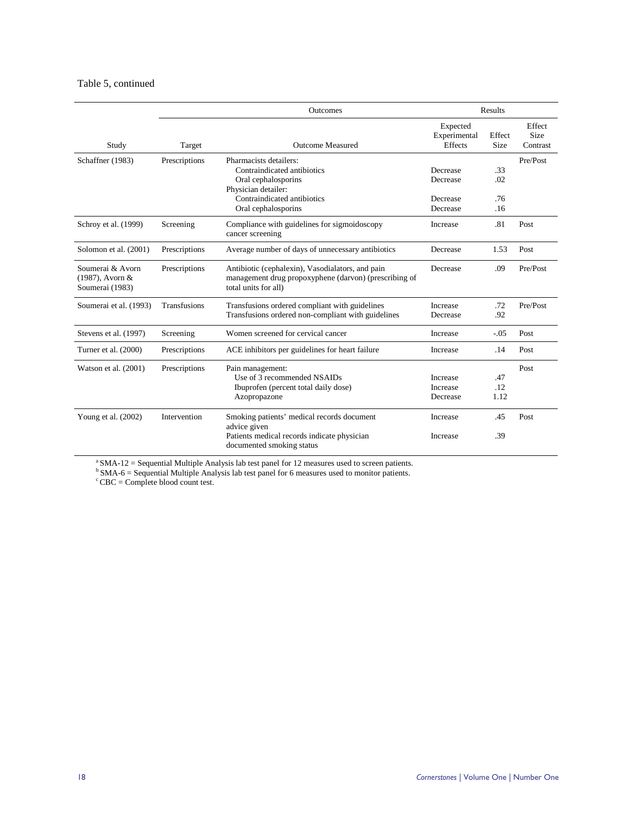## Table 5, continued

|                                                           |                     | <b>Outcomes</b>                                                                                                                   |                                     | Results        |                                   |
|-----------------------------------------------------------|---------------------|-----------------------------------------------------------------------------------------------------------------------------------|-------------------------------------|----------------|-----------------------------------|
| Study                                                     | Target              | <b>Outcome Measured</b>                                                                                                           | Expected<br>Experimental<br>Effects | Effect<br>Size | Effect<br><b>Size</b><br>Contrast |
| Schaffner (1983)                                          | Prescriptions       | Pharmacists detailers:                                                                                                            |                                     |                | Pre/Post                          |
|                                                           |                     | Contraindicated antibiotics                                                                                                       | Decrease                            | .33            |                                   |
|                                                           |                     | Oral cephalosporins                                                                                                               | Decrease                            | .02            |                                   |
|                                                           |                     | Physician detailer:                                                                                                               |                                     |                |                                   |
|                                                           |                     | Contraindicated antibiotics                                                                                                       | Decrease                            | .76            |                                   |
|                                                           |                     | Oral cephalosporins                                                                                                               | Decrease                            | .16            |                                   |
| Schroy et al. (1999)                                      | Screening           | Compliance with guidelines for sigmoidoscopy<br>cancer screening                                                                  | Increase                            | .81            | Post                              |
| Solomon et al. (2001)                                     | Prescriptions       | Average number of days of unnecessary antibiotics                                                                                 | Decrease                            | 1.53           | Post                              |
| Soumerai & Avorn<br>$(1987)$ , Avorn &<br>Soumerai (1983) | Prescriptions       | Antibiotic (cephalexin), Vasodialators, and pain<br>management drug propoxyphene (darvon) (prescribing of<br>total units for all) | Decrease                            | .09            | Pre/Post                          |
| Soumerai et al. (1993)                                    | <b>Transfusions</b> | Transfusions ordered compliant with guidelines                                                                                    | Increase                            | .72            | Pre/Post                          |
|                                                           |                     | Transfusions ordered non-compliant with guidelines                                                                                | Decrease                            | .92            |                                   |
| Stevens et al. (1997)                                     | Screening           | Women screened for cervical cancer                                                                                                | Increase                            | $-.05$         | Post                              |
| Turner et al. (2000)                                      | Prescriptions       | ACE inhibitors per guidelines for heart failure                                                                                   | Increase                            | .14            | Post                              |
| Watson et al. $(2001)$                                    | Prescriptions       | Pain management:                                                                                                                  |                                     |                | Post                              |
|                                                           |                     | Use of 3 recommended NSAIDs                                                                                                       | <b>Increase</b>                     | .47            |                                   |
|                                                           |                     | Ibuprofen (percent total daily dose)                                                                                              | Increase                            | .12            |                                   |
|                                                           |                     | Azopropazone                                                                                                                      | Decrease                            | 1.12           |                                   |
| Young et al. (2002)                                       | Intervention        | Smoking patients' medical records document<br>advice given                                                                        | Increase                            | .45            | Post                              |
|                                                           |                     | Patients medical records indicate physician<br>documented smoking status                                                          | Increase                            | .39            |                                   |

 $a<sup>a</sup> SMA-12 = Sequential Multiple Analysis$  lab test panel for 12 measures used to screen patients.

 $b$  SMA-6 = Sequential Multiple Analysis lab test panel for 6 measures used to monitor patients.

 $c^c$  CBC = Complete blood count test.